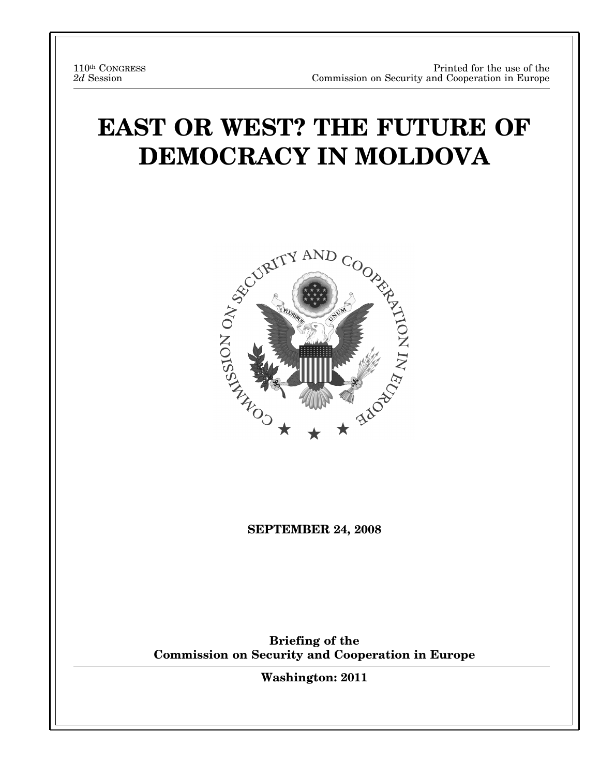# **EAST OR WEST? THE FUTURE OF DEMOCRACY IN MOLDOVA**



**SEPTEMBER 24, 2008** 

**Briefing of the Commission on Security and Cooperation in Europe** 

**Washington: 2011**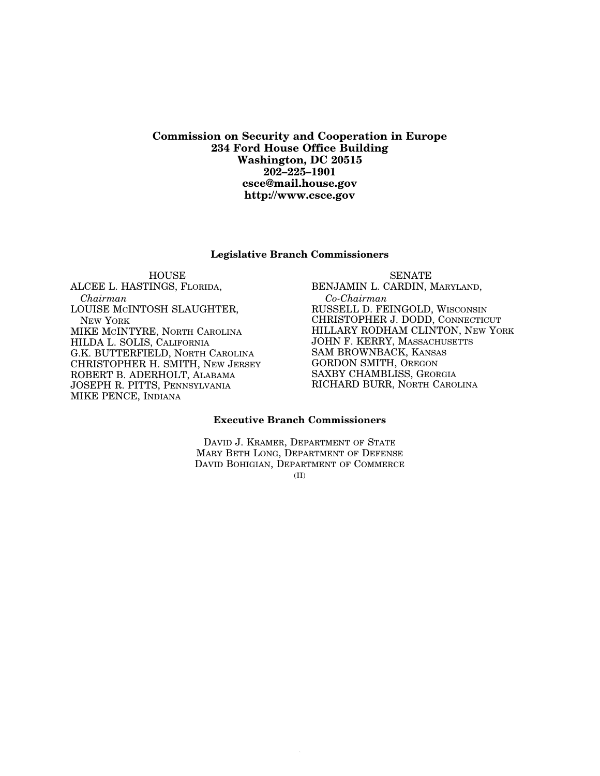**Commission on Security and Cooperation in Europe 234 Ford House Office Building Washington, DC 20515 202–225–1901 csce@mail.house.gov http://www.csce.gov** 

#### **Legislative Branch Commissioners**

**HOUSE** ALCEE L. HASTINGS, FLORIDA, *Chairman*  LOUISE MCINTOSH SLAUGHTER, NEW YORK MIKE MCINTYRE, NORTH CAROLINA HILDA L. SOLIS, CALIFORNIA G.K. BUTTERFIELD, NORTH CAROLINA CHRISTOPHER H. SMITH, NEW JERSEY ROBERT B. ADERHOLT, ALABAMA JOSEPH R. PITTS, PENNSYLVANIA MIKE PENCE, INDIANA

SENATE BENJAMIN L. CARDIN, MARYLAND, *Co-Chairman*  RUSSELL D. FEINGOLD, WISCONSIN CHRISTOPHER J. DODD, CONNECTICUT HILLARY RODHAM CLINTON, NEW YORK JOHN F. KERRY, MASSACHUSETTS SAM BROWNBACK, KANSAS GORDON SMITH, OREGON SAXBY CHAMBLISS, GEORGIA RICHARD BURR, NORTH CAROLINA

### **Executive Branch Commissioners**

DAVID J. KRAMER, DEPARTMENT OF STATE MARY BETH LONG, DEPARTMENT OF DEFENSE DAVID BOHIGIAN, DEPARTMENT OF COMMERCE

(II)

 $V_{\rm eff}$  24  $\mu$  26, 2011  $\mu$  00000  $\mu$  00000  $\mu$  5193  $\mu$  5193  $\mu$  5193  $\mu$  5193  $\mu$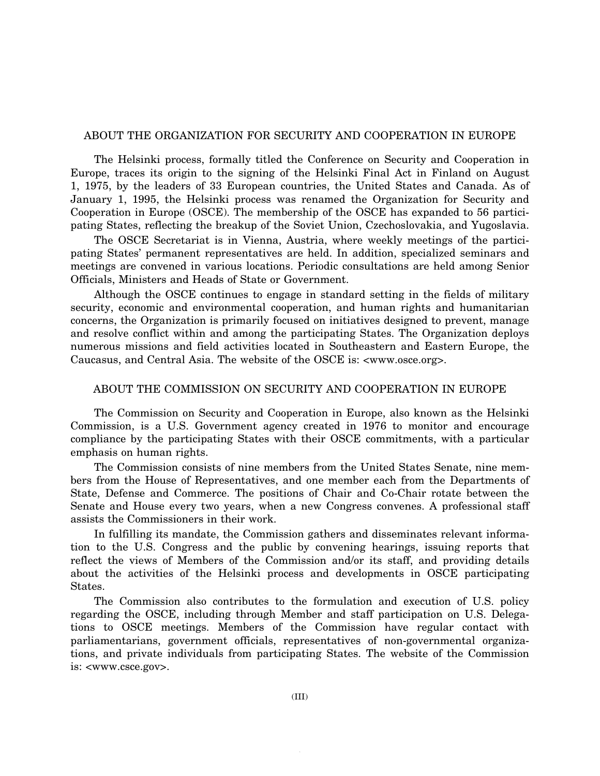### ABOUT THE ORGANIZATION FOR SECURITY AND COOPERATION IN EUROPE

The Helsinki process, formally titled the Conference on Security and Cooperation in Europe, traces its origin to the signing of the Helsinki Final Act in Finland on August 1, 1975, by the leaders of 33 European countries, the United States and Canada. As of January 1, 1995, the Helsinki process was renamed the Organization for Security and Cooperation in Europe (OSCE). The membership of the OSCE has expanded to 56 participating States, reflecting the breakup of the Soviet Union, Czechoslovakia, and Yugoslavia.

The OSCE Secretariat is in Vienna, Austria, where weekly meetings of the participating States' permanent representatives are held. In addition, specialized seminars and meetings are convened in various locations. Periodic consultations are held among Senior Officials, Ministers and Heads of State or Government.

Although the OSCE continues to engage in standard setting in the fields of military security, economic and environmental cooperation, and human rights and humanitarian concerns, the Organization is primarily focused on initiatives designed to prevent, manage and resolve conflict within and among the participating States. The Organization deploys numerous missions and field activities located in Southeastern and Eastern Europe, the Caucasus, and Central Asia. The website of the OSCE is: <www.osce.org>.

### ABOUT THE COMMISSION ON SECURITY AND COOPERATION IN EUROPE

The Commission on Security and Cooperation in Europe, also known as the Helsinki Commission, is a U.S. Government agency created in 1976 to monitor and encourage compliance by the participating States with their OSCE commitments, with a particular emphasis on human rights.

The Commission consists of nine members from the United States Senate, nine members from the House of Representatives, and one member each from the Departments of State, Defense and Commerce. The positions of Chair and Co-Chair rotate between the Senate and House every two years, when a new Congress convenes. A professional staff assists the Commissioners in their work.

In fulfilling its mandate, the Commission gathers and disseminates relevant information to the U.S. Congress and the public by convening hearings, issuing reports that reflect the views of Members of the Commission and/or its staff, and providing details about the activities of the Helsinki process and developments in OSCE participating States.

The Commission also contributes to the formulation and execution of U.S. policy regarding the OSCE, including through Member and staff participation on U.S. Delegations to OSCE meetings. Members of the Commission have regular contact with parliamentarians, government officials, representatives of non-governmental organizations, and private individuals from participating States. The website of the Commission is: <www.csce.gov>.

 $V_{\rm eff}$  24  $\mu$  26, 2011  $\mu$  00000  $\mu$  00000  $\mu$  5193  $\mu$  3193  $\mu$  3194  $\mu$  3194  $\mu$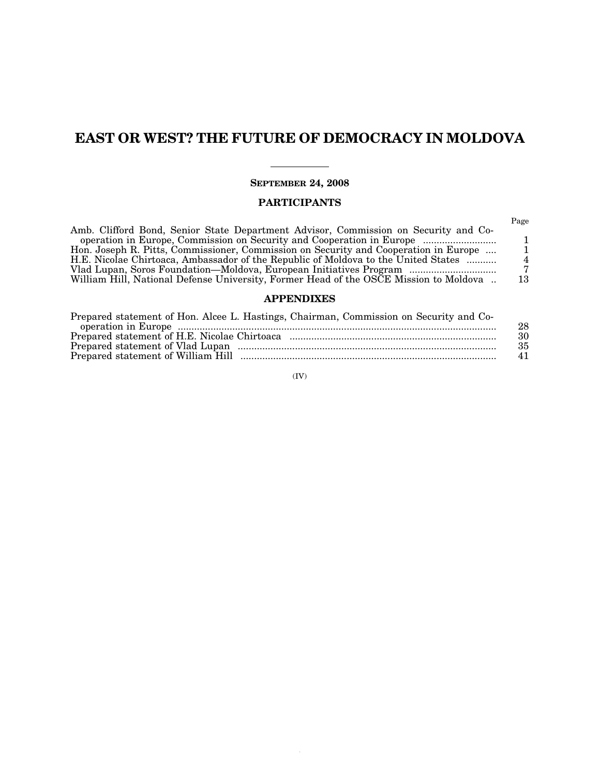# **EAST OR WEST? THE FUTURE OF DEMOCRACY IN MOLDOVA**

### **SEPTEMBER 24, 2008**

### **PARTICIPANTS**

### **APPENDIXES**

| Prepared statement of Hon. Alcee L. Hastings, Chairman, Commission on Security and Co- |    |
|----------------------------------------------------------------------------------------|----|
|                                                                                        | 28 |
|                                                                                        | 30 |
|                                                                                        | 35 |
|                                                                                        | 41 |

#### (IV)

 $\overline{a}$ 

 $V_{\rm eff}$  24  $\mu$  26, 2011  $\mu$  000000  $\mu$  00000  $\mu$  5193  $\mu$  3193  $\mu$  3193  $\mu$  3193  $\mu$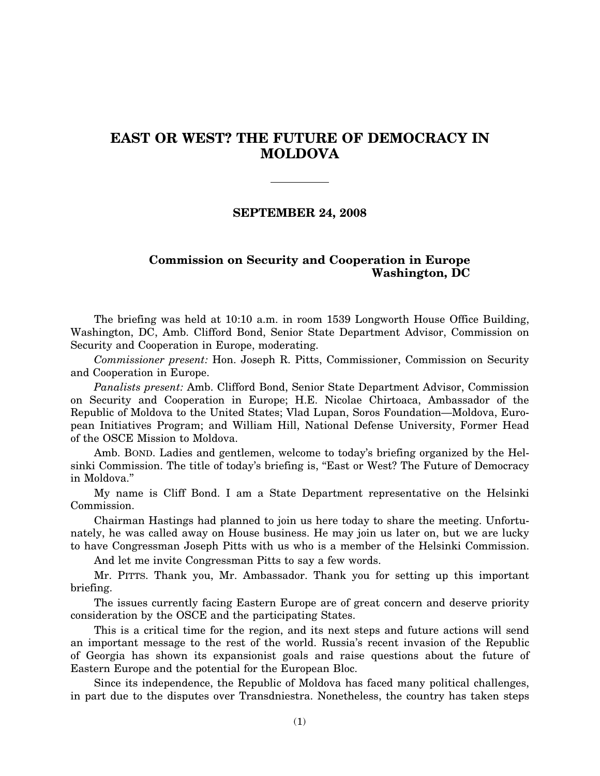# **EAST OR WEST? THE FUTURE OF DEMOCRACY IN MOLDOVA**

### **SEPTEMBER 24, 2008**

### **Commission on Security and Cooperation in Europe Washington, DC**

The briefing was held at 10:10 a.m. in room 1539 Longworth House Office Building, Washington, DC, Amb. Clifford Bond, Senior State Department Advisor, Commission on Security and Cooperation in Europe, moderating.

*Commissioner present:* Hon. Joseph R. Pitts, Commissioner, Commission on Security and Cooperation in Europe.

*Panalists present:* Amb. Clifford Bond, Senior State Department Advisor, Commission on Security and Cooperation in Europe; H.E. Nicolae Chirtoaca, Ambassador of the Republic of Moldova to the United States; Vlad Lupan, Soros Foundation—Moldova, European Initiatives Program; and William Hill, National Defense University, Former Head of the OSCE Mission to Moldova.

Amb. BOND. Ladies and gentlemen, welcome to today's briefing organized by the Helsinki Commission. The title of today's briefing is, ''East or West? The Future of Democracy in Moldova.''

My name is Cliff Bond. I am a State Department representative on the Helsinki Commission.

Chairman Hastings had planned to join us here today to share the meeting. Unfortunately, he was called away on House business. He may join us later on, but we are lucky to have Congressman Joseph Pitts with us who is a member of the Helsinki Commission.

And let me invite Congressman Pitts to say a few words.

Mr. PITTS. Thank you, Mr. Ambassador. Thank you for setting up this important briefing.

The issues currently facing Eastern Europe are of great concern and deserve priority consideration by the OSCE and the participating States.

This is a critical time for the region, and its next steps and future actions will send an important message to the rest of the world. Russia's recent invasion of the Republic of Georgia has shown its expansionist goals and raise questions about the future of Eastern Europe and the potential for the European Bloc.

Since its independence, the Republic of Moldova has faced many political challenges, in part due to the disputes over Transdniestra. Nonetheless, the country has taken steps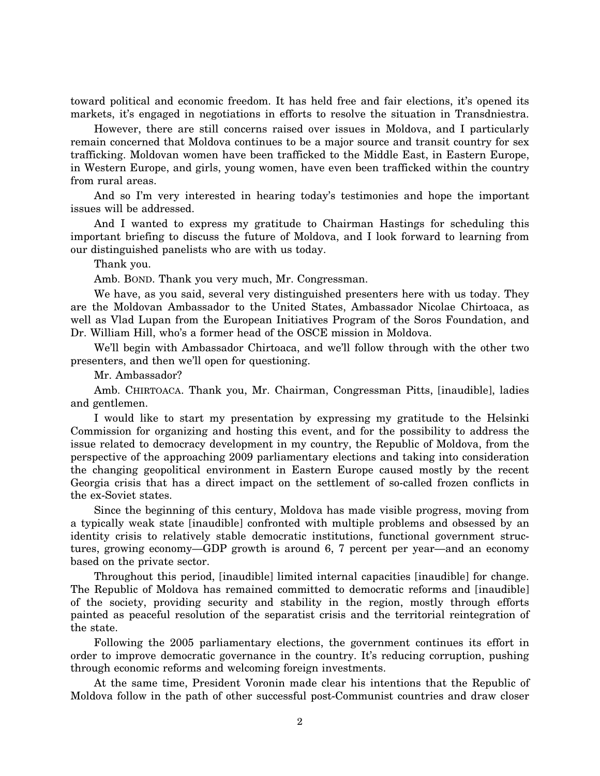toward political and economic freedom. It has held free and fair elections, it's opened its markets, it's engaged in negotiations in efforts to resolve the situation in Transdniestra.

However, there are still concerns raised over issues in Moldova, and I particularly remain concerned that Moldova continues to be a major source and transit country for sex trafficking. Moldovan women have been trafficked to the Middle East, in Eastern Europe, in Western Europe, and girls, young women, have even been trafficked within the country from rural areas.

And so I'm very interested in hearing today's testimonies and hope the important issues will be addressed.

And I wanted to express my gratitude to Chairman Hastings for scheduling this important briefing to discuss the future of Moldova, and I look forward to learning from our distinguished panelists who are with us today.

Thank you.

Amb. BOND. Thank you very much, Mr. Congressman.

We have, as you said, several very distinguished presenters here with us today. They are the Moldovan Ambassador to the United States, Ambassador Nicolae Chirtoaca, as well as Vlad Lupan from the European Initiatives Program of the Soros Foundation, and Dr. William Hill, who's a former head of the OSCE mission in Moldova.

We'll begin with Ambassador Chirtoaca, and we'll follow through with the other two presenters, and then we'll open for questioning.

Mr. Ambassador?

Amb. CHIRTOACA. Thank you, Mr. Chairman, Congressman Pitts, [inaudible], ladies and gentlemen.

I would like to start my presentation by expressing my gratitude to the Helsinki Commission for organizing and hosting this event, and for the possibility to address the issue related to democracy development in my country, the Republic of Moldova, from the perspective of the approaching 2009 parliamentary elections and taking into consideration the changing geopolitical environment in Eastern Europe caused mostly by the recent Georgia crisis that has a direct impact on the settlement of so-called frozen conflicts in the ex-Soviet states.

Since the beginning of this century, Moldova has made visible progress, moving from a typically weak state [inaudible] confronted with multiple problems and obsessed by an identity crisis to relatively stable democratic institutions, functional government structures, growing economy—GDP growth is around 6, 7 percent per year—and an economy based on the private sector.

Throughout this period, [inaudible] limited internal capacities [inaudible] for change. The Republic of Moldova has remained committed to democratic reforms and [inaudible] of the society, providing security and stability in the region, mostly through efforts painted as peaceful resolution of the separatist crisis and the territorial reintegration of the state.

Following the 2005 parliamentary elections, the government continues its effort in order to improve democratic governance in the country. It's reducing corruption, pushing through economic reforms and welcoming foreign investments.

At the same time, President Voronin made clear his intentions that the Republic of Moldova follow in the path of other successful post-Communist countries and draw closer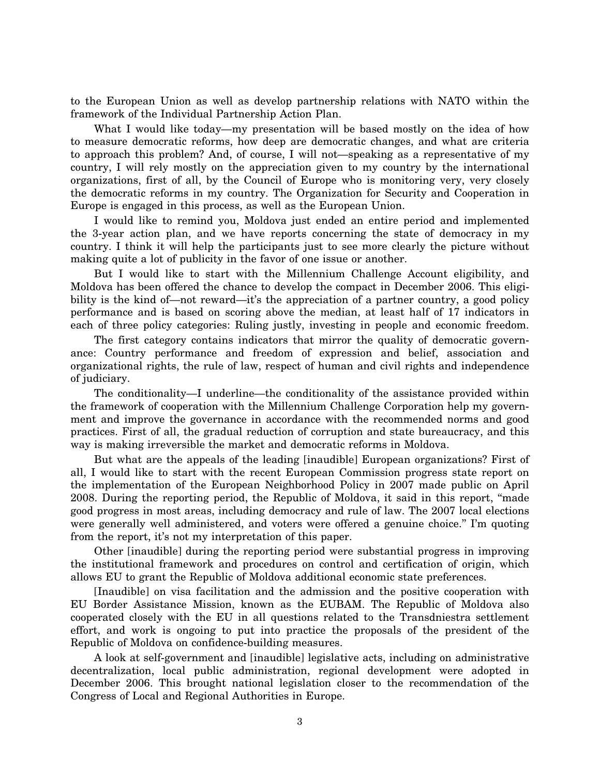to the European Union as well as develop partnership relations with NATO within the framework of the Individual Partnership Action Plan.

What I would like today—my presentation will be based mostly on the idea of how to measure democratic reforms, how deep are democratic changes, and what are criteria to approach this problem? And, of course, I will not—speaking as a representative of my country, I will rely mostly on the appreciation given to my country by the international organizations, first of all, by the Council of Europe who is monitoring very, very closely the democratic reforms in my country. The Organization for Security and Cooperation in Europe is engaged in this process, as well as the European Union.

I would like to remind you, Moldova just ended an entire period and implemented the 3-year action plan, and we have reports concerning the state of democracy in my country. I think it will help the participants just to see more clearly the picture without making quite a lot of publicity in the favor of one issue or another.

But I would like to start with the Millennium Challenge Account eligibility, and Moldova has been offered the chance to develop the compact in December 2006. This eligibility is the kind of—not reward—it's the appreciation of a partner country, a good policy performance and is based on scoring above the median, at least half of 17 indicators in each of three policy categories: Ruling justly, investing in people and economic freedom.

The first category contains indicators that mirror the quality of democratic governance: Country performance and freedom of expression and belief, association and organizational rights, the rule of law, respect of human and civil rights and independence of judiciary.

The conditionality—I underline—the conditionality of the assistance provided within the framework of cooperation with the Millennium Challenge Corporation help my government and improve the governance in accordance with the recommended norms and good practices. First of all, the gradual reduction of corruption and state bureaucracy, and this way is making irreversible the market and democratic reforms in Moldova.

But what are the appeals of the leading [inaudible] European organizations? First of all, I would like to start with the recent European Commission progress state report on the implementation of the European Neighborhood Policy in 2007 made public on April 2008. During the reporting period, the Republic of Moldova, it said in this report, ''made good progress in most areas, including democracy and rule of law. The 2007 local elections were generally well administered, and voters were offered a genuine choice.'' I'm quoting from the report, it's not my interpretation of this paper.

Other [inaudible] during the reporting period were substantial progress in improving the institutional framework and procedures on control and certification of origin, which allows EU to grant the Republic of Moldova additional economic state preferences.

[Inaudible] on visa facilitation and the admission and the positive cooperation with EU Border Assistance Mission, known as the EUBAM. The Republic of Moldova also cooperated closely with the EU in all questions related to the Transdniestra settlement effort, and work is ongoing to put into practice the proposals of the president of the Republic of Moldova on confidence-building measures.

A look at self-government and [inaudible] legislative acts, including on administrative decentralization, local public administration, regional development were adopted in December 2006. This brought national legislation closer to the recommendation of the Congress of Local and Regional Authorities in Europe.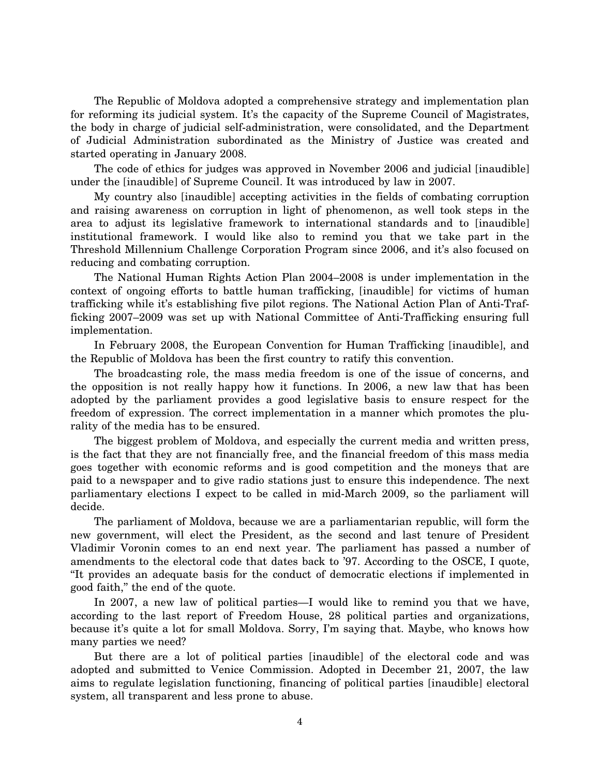The Republic of Moldova adopted a comprehensive strategy and implementation plan for reforming its judicial system. It's the capacity of the Supreme Council of Magistrates, the body in charge of judicial self-administration, were consolidated, and the Department of Judicial Administration subordinated as the Ministry of Justice was created and started operating in January 2008.

The code of ethics for judges was approved in November 2006 and judicial [inaudible] under the [inaudible] of Supreme Council. It was introduced by law in 2007.

My country also [inaudible] accepting activities in the fields of combating corruption and raising awareness on corruption in light of phenomenon, as well took steps in the area to adjust its legislative framework to international standards and to [inaudible] institutional framework. I would like also to remind you that we take part in the Threshold Millennium Challenge Corporation Program since 2006, and it's also focused on reducing and combating corruption.

The National Human Rights Action Plan 2004–2008 is under implementation in the context of ongoing efforts to battle human trafficking, [inaudible] for victims of human trafficking while it's establishing five pilot regions. The National Action Plan of Anti-Trafficking 2007–2009 was set up with National Committee of Anti-Trafficking ensuring full implementation.

In February 2008, the European Convention for Human Trafficking [inaudible], and the Republic of Moldova has been the first country to ratify this convention.

The broadcasting role, the mass media freedom is one of the issue of concerns, and the opposition is not really happy how it functions. In 2006, a new law that has been adopted by the parliament provides a good legislative basis to ensure respect for the freedom of expression. The correct implementation in a manner which promotes the plurality of the media has to be ensured.

The biggest problem of Moldova, and especially the current media and written press, is the fact that they are not financially free, and the financial freedom of this mass media goes together with economic reforms and is good competition and the moneys that are paid to a newspaper and to give radio stations just to ensure this independence. The next parliamentary elections I expect to be called in mid-March 2009, so the parliament will decide.

The parliament of Moldova, because we are a parliamentarian republic, will form the new government, will elect the President, as the second and last tenure of President Vladimir Voronin comes to an end next year. The parliament has passed a number of amendments to the electoral code that dates back to '97. According to the OSCE, I quote, ''It provides an adequate basis for the conduct of democratic elections if implemented in good faith,'' the end of the quote.

In 2007, a new law of political parties—I would like to remind you that we have, according to the last report of Freedom House, 28 political parties and organizations, because it's quite a lot for small Moldova. Sorry, I'm saying that. Maybe, who knows how many parties we need?

But there are a lot of political parties [inaudible] of the electoral code and was adopted and submitted to Venice Commission. Adopted in December 21, 2007, the law aims to regulate legislation functioning, financing of political parties [inaudible] electoral system, all transparent and less prone to abuse.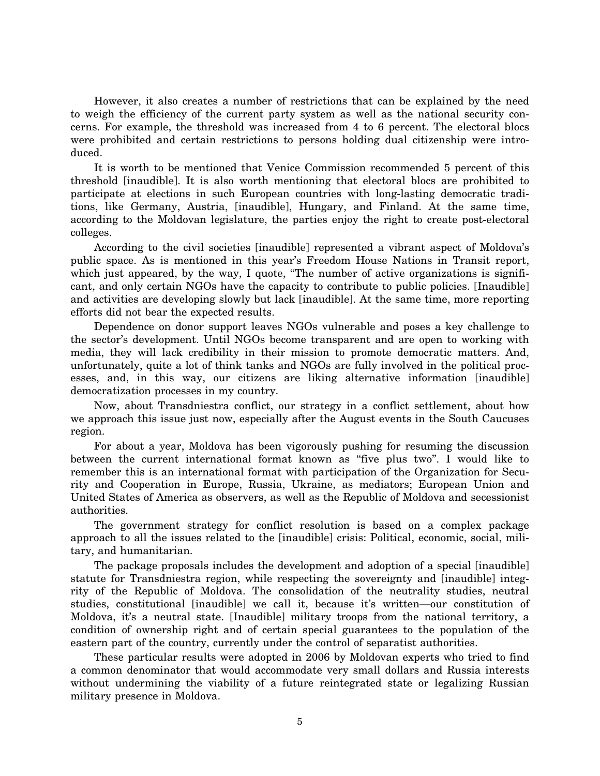However, it also creates a number of restrictions that can be explained by the need to weigh the efficiency of the current party system as well as the national security concerns. For example, the threshold was increased from 4 to 6 percent. The electoral blocs were prohibited and certain restrictions to persons holding dual citizenship were introduced.

It is worth to be mentioned that Venice Commission recommended 5 percent of this threshold [inaudible]. It is also worth mentioning that electoral blocs are prohibited to participate at elections in such European countries with long-lasting democratic traditions, like Germany, Austria, [inaudible], Hungary, and Finland. At the same time, according to the Moldovan legislature, the parties enjoy the right to create post-electoral colleges.

According to the civil societies [inaudible] represented a vibrant aspect of Moldova's public space. As is mentioned in this year's Freedom House Nations in Transit report, which just appeared, by the way, I quote, "The number of active organizations is significant, and only certain NGOs have the capacity to contribute to public policies. [Inaudible] and activities are developing slowly but lack [inaudible]. At the same time, more reporting efforts did not bear the expected results.

Dependence on donor support leaves NGOs vulnerable and poses a key challenge to the sector's development. Until NGOs become transparent and are open to working with media, they will lack credibility in their mission to promote democratic matters. And, unfortunately, quite a lot of think tanks and NGOs are fully involved in the political processes, and, in this way, our citizens are liking alternative information [inaudible] democratization processes in my country.

Now, about Transdniestra conflict, our strategy in a conflict settlement, about how we approach this issue just now, especially after the August events in the South Caucuses region.

For about a year, Moldova has been vigorously pushing for resuming the discussion between the current international format known as ''five plus two''. I would like to remember this is an international format with participation of the Organization for Security and Cooperation in Europe, Russia, Ukraine, as mediators; European Union and United States of America as observers, as well as the Republic of Moldova and secessionist authorities.

The government strategy for conflict resolution is based on a complex package approach to all the issues related to the [inaudible] crisis: Political, economic, social, military, and humanitarian.

The package proposals includes the development and adoption of a special [inaudible] statute for Transdniestra region, while respecting the sovereignty and [inaudible] integrity of the Republic of Moldova. The consolidation of the neutrality studies, neutral studies, constitutional [inaudible] we call it, because it's written—our constitution of Moldova, it's a neutral state. [Inaudible] military troops from the national territory, a condition of ownership right and of certain special guarantees to the population of the eastern part of the country, currently under the control of separatist authorities.

These particular results were adopted in 2006 by Moldovan experts who tried to find a common denominator that would accommodate very small dollars and Russia interests without undermining the viability of a future reintegrated state or legalizing Russian military presence in Moldova.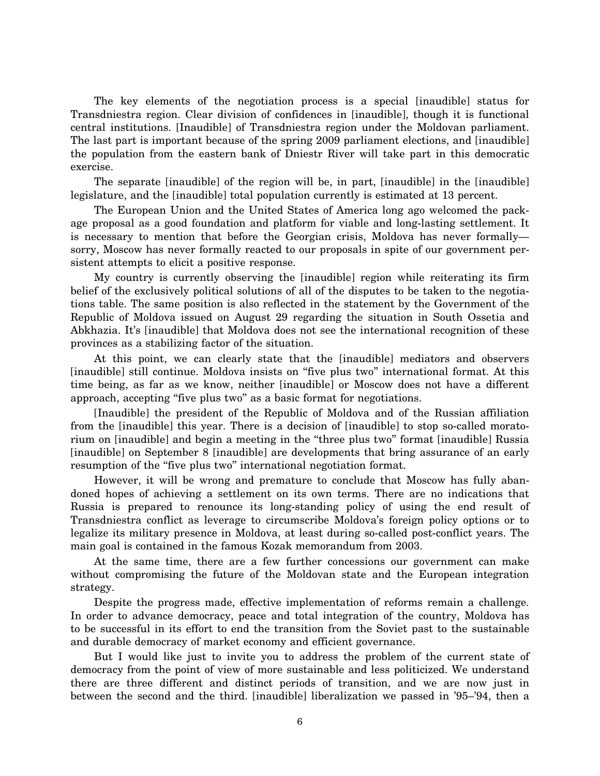The key elements of the negotiation process is a special [inaudible] status for Transdniestra region. Clear division of confidences in [inaudible], though it is functional central institutions. [Inaudible] of Transdniestra region under the Moldovan parliament. The last part is important because of the spring 2009 parliament elections, and [inaudible] the population from the eastern bank of Dniestr River will take part in this democratic exercise.

The separate [inaudible] of the region will be, in part, [inaudible] in the [inaudible] legislature, and the [inaudible] total population currently is estimated at 13 percent.

The European Union and the United States of America long ago welcomed the package proposal as a good foundation and platform for viable and long-lasting settlement. It is necessary to mention that before the Georgian crisis, Moldova has never formally sorry, Moscow has never formally reacted to our proposals in spite of our government persistent attempts to elicit a positive response.

My country is currently observing the [inaudible] region while reiterating its firm belief of the exclusively political solutions of all of the disputes to be taken to the negotiations table. The same position is also reflected in the statement by the Government of the Republic of Moldova issued on August 29 regarding the situation in South Ossetia and Abkhazia. It's [inaudible] that Moldova does not see the international recognition of these provinces as a stabilizing factor of the situation.

At this point, we can clearly state that the [inaudible] mediators and observers [inaudible] still continue. Moldova insists on ''five plus two'' international format. At this time being, as far as we know, neither [inaudible] or Moscow does not have a different approach, accepting "five plus two" as a basic format for negotiations.

[Inaudible] the president of the Republic of Moldova and of the Russian affiliation from the [inaudible] this year. There is a decision of [inaudible] to stop so-called moratorium on [inaudible] and begin a meeting in the "three plus two" format [inaudible] Russia [inaudible] on September 8 [inaudible] are developments that bring assurance of an early resumption of the "five plus two" international negotiation format.

However, it will be wrong and premature to conclude that Moscow has fully abandoned hopes of achieving a settlement on its own terms. There are no indications that Russia is prepared to renounce its long-standing policy of using the end result of Transdniestra conflict as leverage to circumscribe Moldova's foreign policy options or to legalize its military presence in Moldova, at least during so-called post-conflict years. The main goal is contained in the famous Kozak memorandum from 2003.

At the same time, there are a few further concessions our government can make without compromising the future of the Moldovan state and the European integration strategy.

Despite the progress made, effective implementation of reforms remain a challenge. In order to advance democracy, peace and total integration of the country, Moldova has to be successful in its effort to end the transition from the Soviet past to the sustainable and durable democracy of market economy and efficient governance.

But I would like just to invite you to address the problem of the current state of democracy from the point of view of more sustainable and less politicized. We understand there are three different and distinct periods of transition, and we are now just in between the second and the third. [inaudible] liberalization we passed in '95–'94, then a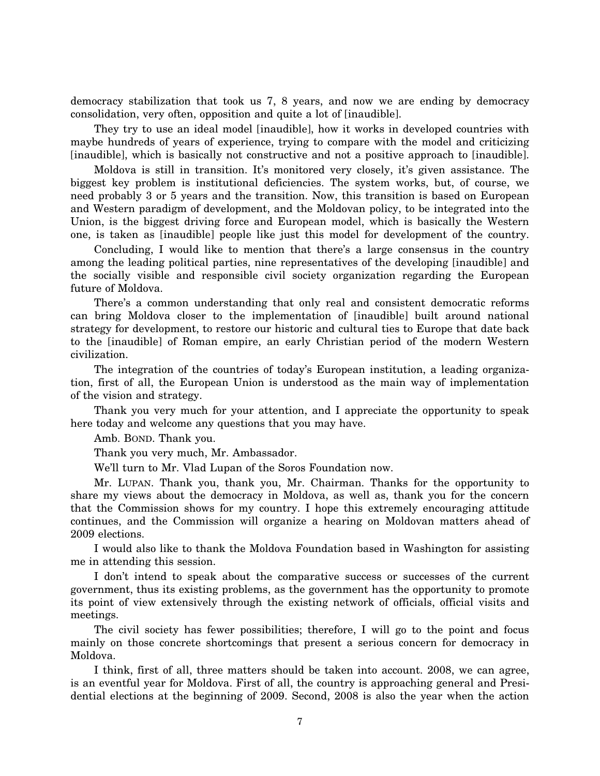democracy stabilization that took us 7, 8 years, and now we are ending by democracy consolidation, very often, opposition and quite a lot of [inaudible].

They try to use an ideal model [inaudible], how it works in developed countries with maybe hundreds of years of experience, trying to compare with the model and criticizing [inaudible], which is basically not constructive and not a positive approach to [inaudible].

Moldova is still in transition. It's monitored very closely, it's given assistance. The biggest key problem is institutional deficiencies. The system works, but, of course, we need probably 3 or 5 years and the transition. Now, this transition is based on European and Western paradigm of development, and the Moldovan policy, to be integrated into the Union, is the biggest driving force and European model, which is basically the Western one, is taken as [inaudible] people like just this model for development of the country.

Concluding, I would like to mention that there's a large consensus in the country among the leading political parties, nine representatives of the developing [inaudible] and the socially visible and responsible civil society organization regarding the European future of Moldova.

There's a common understanding that only real and consistent democratic reforms can bring Moldova closer to the implementation of [inaudible] built around national strategy for development, to restore our historic and cultural ties to Europe that date back to the [inaudible] of Roman empire, an early Christian period of the modern Western civilization.

The integration of the countries of today's European institution, a leading organization, first of all, the European Union is understood as the main way of implementation of the vision and strategy.

Thank you very much for your attention, and I appreciate the opportunity to speak here today and welcome any questions that you may have.

Amb. BOND. Thank you.

Thank you very much, Mr. Ambassador.

We'll turn to Mr. Vlad Lupan of the Soros Foundation now.

Mr. LUPAN. Thank you, thank you, Mr. Chairman. Thanks for the opportunity to share my views about the democracy in Moldova, as well as, thank you for the concern that the Commission shows for my country. I hope this extremely encouraging attitude continues, and the Commission will organize a hearing on Moldovan matters ahead of 2009 elections.

I would also like to thank the Moldova Foundation based in Washington for assisting me in attending this session.

I don't intend to speak about the comparative success or successes of the current government, thus its existing problems, as the government has the opportunity to promote its point of view extensively through the existing network of officials, official visits and meetings.

The civil society has fewer possibilities; therefore, I will go to the point and focus mainly on those concrete shortcomings that present a serious concern for democracy in Moldova.

I think, first of all, three matters should be taken into account. 2008, we can agree, is an eventful year for Moldova. First of all, the country is approaching general and Presidential elections at the beginning of 2009. Second, 2008 is also the year when the action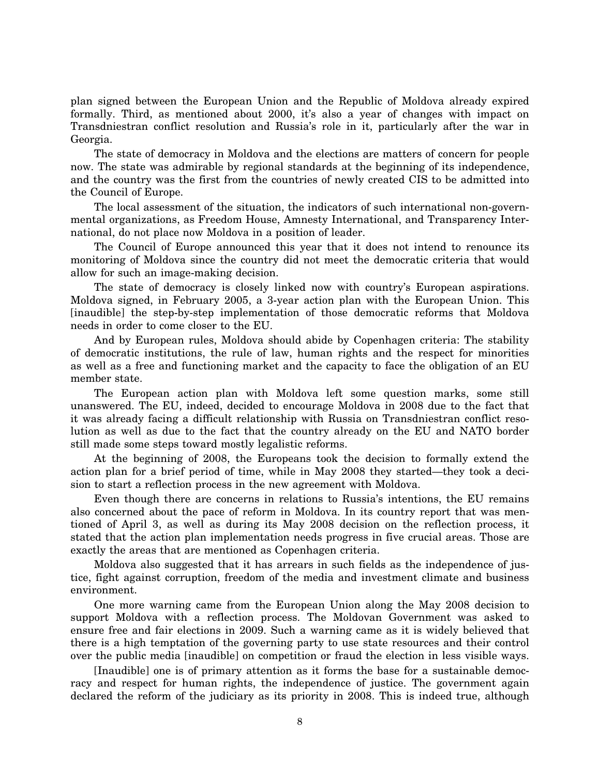plan signed between the European Union and the Republic of Moldova already expired formally. Third, as mentioned about 2000, it's also a year of changes with impact on Transdniestran conflict resolution and Russia's role in it, particularly after the war in Georgia.

The state of democracy in Moldova and the elections are matters of concern for people now. The state was admirable by regional standards at the beginning of its independence, and the country was the first from the countries of newly created CIS to be admitted into the Council of Europe.

The local assessment of the situation, the indicators of such international non-governmental organizations, as Freedom House, Amnesty International, and Transparency International, do not place now Moldova in a position of leader.

The Council of Europe announced this year that it does not intend to renounce its monitoring of Moldova since the country did not meet the democratic criteria that would allow for such an image-making decision.

The state of democracy is closely linked now with country's European aspirations. Moldova signed, in February 2005, a 3-year action plan with the European Union. This [inaudible] the step-by-step implementation of those democratic reforms that Moldova needs in order to come closer to the EU.

And by European rules, Moldova should abide by Copenhagen criteria: The stability of democratic institutions, the rule of law, human rights and the respect for minorities as well as a free and functioning market and the capacity to face the obligation of an EU member state.

The European action plan with Moldova left some question marks, some still unanswered. The EU, indeed, decided to encourage Moldova in 2008 due to the fact that it was already facing a difficult relationship with Russia on Transdniestran conflict resolution as well as due to the fact that the country already on the EU and NATO border still made some steps toward mostly legalistic reforms.

At the beginning of 2008, the Europeans took the decision to formally extend the action plan for a brief period of time, while in May 2008 they started—they took a decision to start a reflection process in the new agreement with Moldova.

Even though there are concerns in relations to Russia's intentions, the EU remains also concerned about the pace of reform in Moldova. In its country report that was mentioned of April 3, as well as during its May 2008 decision on the reflection process, it stated that the action plan implementation needs progress in five crucial areas. Those are exactly the areas that are mentioned as Copenhagen criteria.

Moldova also suggested that it has arrears in such fields as the independence of justice, fight against corruption, freedom of the media and investment climate and business environment.

One more warning came from the European Union along the May 2008 decision to support Moldova with a reflection process. The Moldovan Government was asked to ensure free and fair elections in 2009. Such a warning came as it is widely believed that there is a high temptation of the governing party to use state resources and their control over the public media [inaudible] on competition or fraud the election in less visible ways.

[Inaudible] one is of primary attention as it forms the base for a sustainable democracy and respect for human rights, the independence of justice. The government again declared the reform of the judiciary as its priority in 2008. This is indeed true, although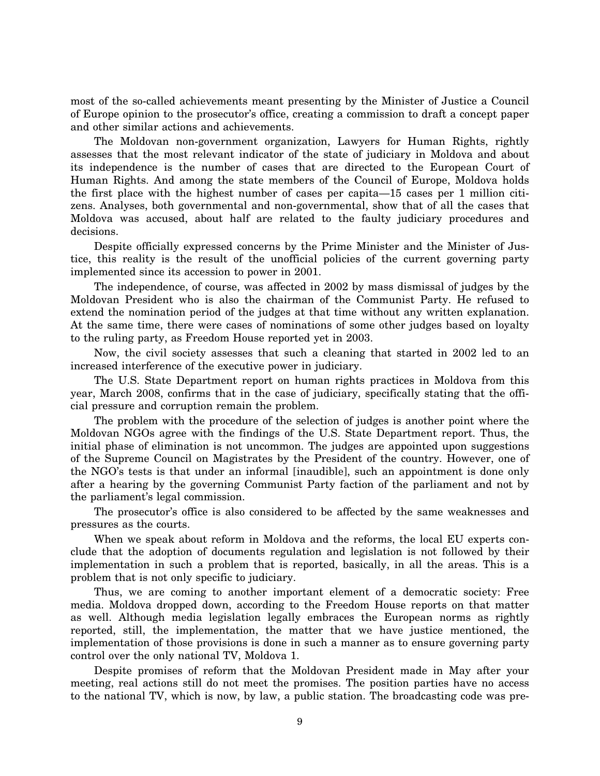most of the so-called achievements meant presenting by the Minister of Justice a Council of Europe opinion to the prosecutor's office, creating a commission to draft a concept paper and other similar actions and achievements.

The Moldovan non-government organization, Lawyers for Human Rights, rightly assesses that the most relevant indicator of the state of judiciary in Moldova and about its independence is the number of cases that are directed to the European Court of Human Rights. And among the state members of the Council of Europe, Moldova holds the first place with the highest number of cases per capita—15 cases per 1 million citizens. Analyses, both governmental and non-governmental, show that of all the cases that Moldova was accused, about half are related to the faulty judiciary procedures and decisions.

Despite officially expressed concerns by the Prime Minister and the Minister of Justice, this reality is the result of the unofficial policies of the current governing party implemented since its accession to power in 2001.

The independence, of course, was affected in 2002 by mass dismissal of judges by the Moldovan President who is also the chairman of the Communist Party. He refused to extend the nomination period of the judges at that time without any written explanation. At the same time, there were cases of nominations of some other judges based on loyalty to the ruling party, as Freedom House reported yet in 2003.

Now, the civil society assesses that such a cleaning that started in 2002 led to an increased interference of the executive power in judiciary.

The U.S. State Department report on human rights practices in Moldova from this year, March 2008, confirms that in the case of judiciary, specifically stating that the official pressure and corruption remain the problem.

The problem with the procedure of the selection of judges is another point where the Moldovan NGOs agree with the findings of the U.S. State Department report. Thus, the initial phase of elimination is not uncommon. The judges are appointed upon suggestions of the Supreme Council on Magistrates by the President of the country. However, one of the NGO's tests is that under an informal [inaudible], such an appointment is done only after a hearing by the governing Communist Party faction of the parliament and not by the parliament's legal commission.

The prosecutor's office is also considered to be affected by the same weaknesses and pressures as the courts.

When we speak about reform in Moldova and the reforms, the local EU experts conclude that the adoption of documents regulation and legislation is not followed by their implementation in such a problem that is reported, basically, in all the areas. This is a problem that is not only specific to judiciary.

Thus, we are coming to another important element of a democratic society: Free media. Moldova dropped down, according to the Freedom House reports on that matter as well. Although media legislation legally embraces the European norms as rightly reported, still, the implementation, the matter that we have justice mentioned, the implementation of those provisions is done in such a manner as to ensure governing party control over the only national TV, Moldova 1.

Despite promises of reform that the Moldovan President made in May after your meeting, real actions still do not meet the promises. The position parties have no access to the national TV, which is now, by law, a public station. The broadcasting code was pre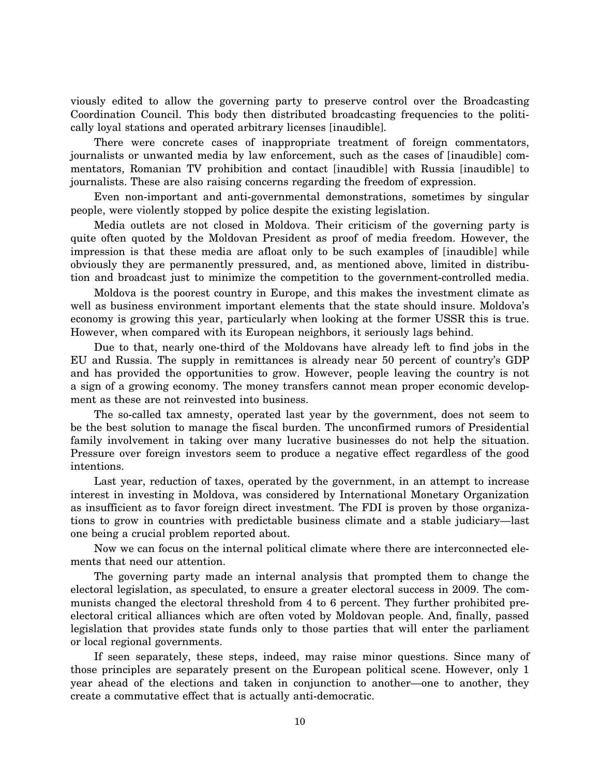viously edited to allow the governing party to preserve control over the Broadcasting Coordination Council. This body then distributed broadcasting frequencies to the politically loyal stations and operated arbitrary licenses [inaudible].

There were concrete cases of inappropriate treatment of foreign commentators, journalists or unwanted media by law enforcement, such as the cases of [inaudible] commentators, Romanian TV prohibition and contact [inaudible] with Russia [inaudible] to journalists. These are also raising concerns regarding the freedom of expression.

Even non-important and anti-governmental demonstrations, sometimes by singular people, were violently stopped by police despite the existing legislation.

Media outlets are not closed in Moldova. Their criticism of the governing party is quite often quoted by the Moldovan President as proof of media freedom. However, the impression is that these media are afloat only to be such examples of [inaudible] while obviously they are permanently pressured, and, as mentioned above, limited in distribution and broadcast just to minimize the competition to the government-controlled media.

Moldova is the poorest country in Europe, and this makes the investment climate as well as business environment important elements that the state should insure. Moldova's economy is growing this year, particularly when looking at the former USSR this is true. However, when compared with its European neighbors, it seriously lags behind.

Due to that, nearly one-third of the Moldovans have already left to find jobs in the EU and Russia. The supply in remittances is already near 50 percent of country's GDP and has provided the opportunities to grow. However, people leaving the country is not a sign of a growing economy. The money transfers cannot mean proper economic development as these are not reinvested into business.

The so-called tax amnesty, operated last year by the government, does not seem to be the best solution to manage the fiscal burden. The unconfirmed rumors of Presidential family involvement in taking over many lucrative businesses do not help the situation. Pressure over foreign investors seem to produce a negative effect regardless of the good intentions.

Last year, reduction of taxes, operated by the government, in an attempt to increase interest in investing in Moldova, was considered by International Monetary Organization as insufficient as to favor foreign direct investment. The FDI is proven by those organizations to grow in countries with predictable business climate and a stable judiciary—last one being a crucial problem reported about.

Now we can focus on the internal political climate where there are interconnected elements that need our attention.

The governing party made an internal analysis that prompted them to change the electoral legislation, as speculated, to ensure a greater electoral success in 2009. The communists changed the electoral threshold from 4 to 6 percent. They further prohibited preelectoral critical alliances which are often voted by Moldovan people. And, finally, passed legislation that provides state funds only to those parties that will enter the parliament or local regional governments.

If seen separately, these steps, indeed, may raise minor questions. Since many of those principles are separately present on the European political scene. However, only 1 year ahead of the elections and taken in conjunction to another—one to another, they create a commutative effect that is actually anti-democratic.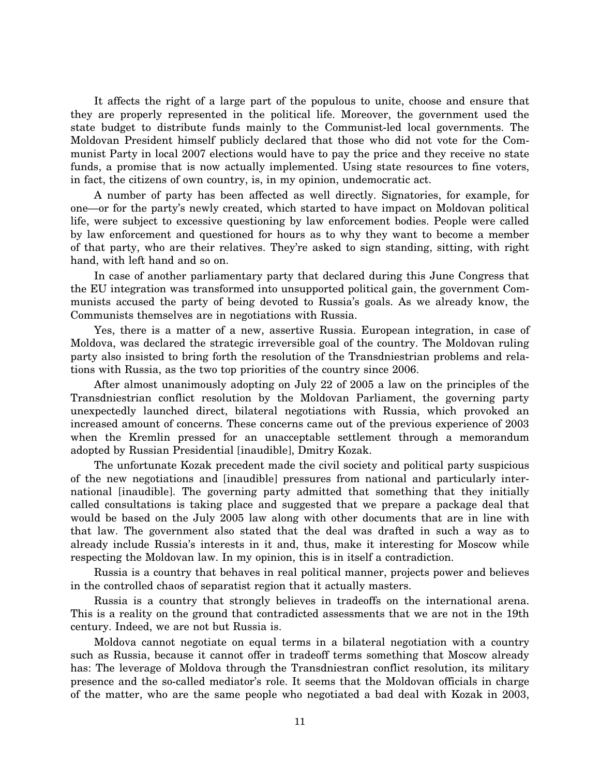It affects the right of a large part of the populous to unite, choose and ensure that they are properly represented in the political life. Moreover, the government used the state budget to distribute funds mainly to the Communist-led local governments. The Moldovan President himself publicly declared that those who did not vote for the Communist Party in local 2007 elections would have to pay the price and they receive no state funds, a promise that is now actually implemented. Using state resources to fine voters, in fact, the citizens of own country, is, in my opinion, undemocratic act.

A number of party has been affected as well directly. Signatories, for example, for one—or for the party's newly created, which started to have impact on Moldovan political life, were subject to excessive questioning by law enforcement bodies. People were called by law enforcement and questioned for hours as to why they want to become a member of that party, who are their relatives. They're asked to sign standing, sitting, with right hand, with left hand and so on.

In case of another parliamentary party that declared during this June Congress that the EU integration was transformed into unsupported political gain, the government Communists accused the party of being devoted to Russia's goals. As we already know, the Communists themselves are in negotiations with Russia.

Yes, there is a matter of a new, assertive Russia. European integration, in case of Moldova, was declared the strategic irreversible goal of the country. The Moldovan ruling party also insisted to bring forth the resolution of the Transdniestrian problems and relations with Russia, as the two top priorities of the country since 2006.

After almost unanimously adopting on July 22 of 2005 a law on the principles of the Transdniestrian conflict resolution by the Moldovan Parliament, the governing party unexpectedly launched direct, bilateral negotiations with Russia, which provoked an increased amount of concerns. These concerns came out of the previous experience of 2003 when the Kremlin pressed for an unacceptable settlement through a memorandum adopted by Russian Presidential [inaudible], Dmitry Kozak.

The unfortunate Kozak precedent made the civil society and political party suspicious of the new negotiations and [inaudible] pressures from national and particularly international [inaudible]. The governing party admitted that something that they initially called consultations is taking place and suggested that we prepare a package deal that would be based on the July 2005 law along with other documents that are in line with that law. The government also stated that the deal was drafted in such a way as to already include Russia's interests in it and, thus, make it interesting for Moscow while respecting the Moldovan law. In my opinion, this is in itself a contradiction.

Russia is a country that behaves in real political manner, projects power and believes in the controlled chaos of separatist region that it actually masters.

Russia is a country that strongly believes in tradeoffs on the international arena. This is a reality on the ground that contradicted assessments that we are not in the 19th century. Indeed, we are not but Russia is.

Moldova cannot negotiate on equal terms in a bilateral negotiation with a country such as Russia, because it cannot offer in tradeoff terms something that Moscow already has: The leverage of Moldova through the Transdniestran conflict resolution, its military presence and the so-called mediator's role. It seems that the Moldovan officials in charge of the matter, who are the same people who negotiated a bad deal with Kozak in 2003,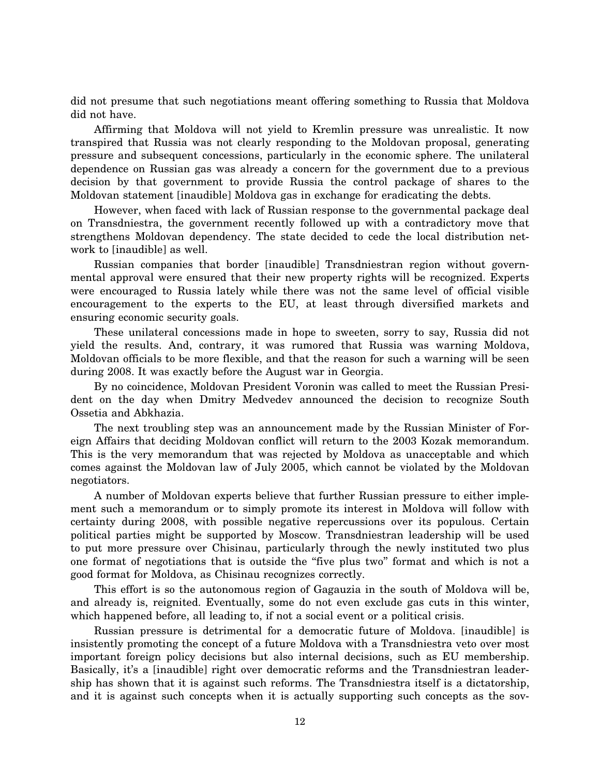did not presume that such negotiations meant offering something to Russia that Moldova did not have.

Affirming that Moldova will not yield to Kremlin pressure was unrealistic. It now transpired that Russia was not clearly responding to the Moldovan proposal, generating pressure and subsequent concessions, particularly in the economic sphere. The unilateral dependence on Russian gas was already a concern for the government due to a previous decision by that government to provide Russia the control package of shares to the Moldovan statement [inaudible] Moldova gas in exchange for eradicating the debts.

However, when faced with lack of Russian response to the governmental package deal on Transdniestra, the government recently followed up with a contradictory move that strengthens Moldovan dependency. The state decided to cede the local distribution network to [inaudible] as well.

Russian companies that border [inaudible] Transdniestran region without governmental approval were ensured that their new property rights will be recognized. Experts were encouraged to Russia lately while there was not the same level of official visible encouragement to the experts to the EU, at least through diversified markets and ensuring economic security goals.

These unilateral concessions made in hope to sweeten, sorry to say, Russia did not yield the results. And, contrary, it was rumored that Russia was warning Moldova, Moldovan officials to be more flexible, and that the reason for such a warning will be seen during 2008. It was exactly before the August war in Georgia.

By no coincidence, Moldovan President Voronin was called to meet the Russian President on the day when Dmitry Medvedev announced the decision to recognize South Ossetia and Abkhazia.

The next troubling step was an announcement made by the Russian Minister of Foreign Affairs that deciding Moldovan conflict will return to the 2003 Kozak memorandum. This is the very memorandum that was rejected by Moldova as unacceptable and which comes against the Moldovan law of July 2005, which cannot be violated by the Moldovan negotiators.

A number of Moldovan experts believe that further Russian pressure to either implement such a memorandum or to simply promote its interest in Moldova will follow with certainty during 2008, with possible negative repercussions over its populous. Certain political parties might be supported by Moscow. Transdniestran leadership will be used to put more pressure over Chisinau, particularly through the newly instituted two plus one format of negotiations that is outside the ''five plus two'' format and which is not a good format for Moldova, as Chisinau recognizes correctly.

This effort is so the autonomous region of Gagauzia in the south of Moldova will be, and already is, reignited. Eventually, some do not even exclude gas cuts in this winter, which happened before, all leading to, if not a social event or a political crisis.

Russian pressure is detrimental for a democratic future of Moldova. [inaudible] is insistently promoting the concept of a future Moldova with a Transdniestra veto over most important foreign policy decisions but also internal decisions, such as EU membership. Basically, it's a [inaudible] right over democratic reforms and the Transdniestran leadership has shown that it is against such reforms. The Transdniestra itself is a dictatorship, and it is against such concepts when it is actually supporting such concepts as the sov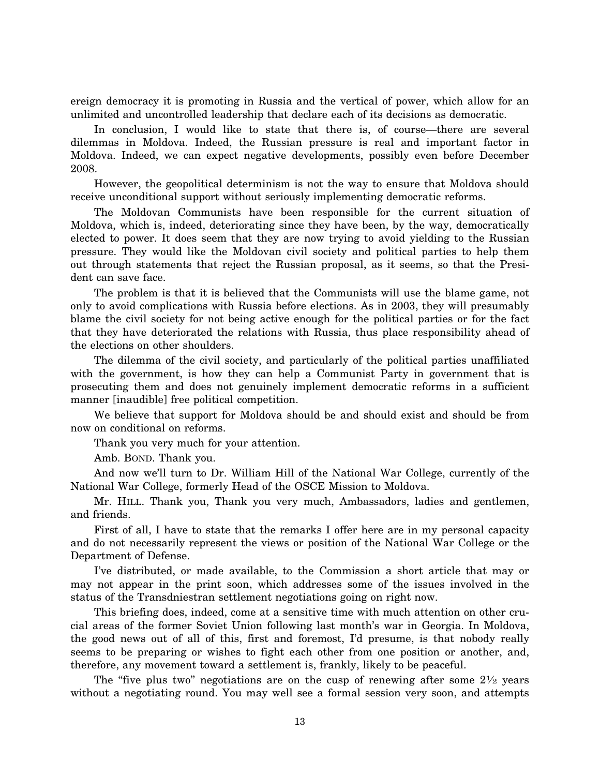ereign democracy it is promoting in Russia and the vertical of power, which allow for an unlimited and uncontrolled leadership that declare each of its decisions as democratic.

In conclusion, I would like to state that there is, of course—there are several dilemmas in Moldova. Indeed, the Russian pressure is real and important factor in Moldova. Indeed, we can expect negative developments, possibly even before December 2008.

However, the geopolitical determinism is not the way to ensure that Moldova should receive unconditional support without seriously implementing democratic reforms.

The Moldovan Communists have been responsible for the current situation of Moldova, which is, indeed, deteriorating since they have been, by the way, democratically elected to power. It does seem that they are now trying to avoid yielding to the Russian pressure. They would like the Moldovan civil society and political parties to help them out through statements that reject the Russian proposal, as it seems, so that the President can save face.

The problem is that it is believed that the Communists will use the blame game, not only to avoid complications with Russia before elections. As in 2003, they will presumably blame the civil society for not being active enough for the political parties or for the fact that they have deteriorated the relations with Russia, thus place responsibility ahead of the elections on other shoulders.

The dilemma of the civil society, and particularly of the political parties unaffiliated with the government, is how they can help a Communist Party in government that is prosecuting them and does not genuinely implement democratic reforms in a sufficient manner [inaudible] free political competition.

We believe that support for Moldova should be and should exist and should be from now on conditional on reforms.

Thank you very much for your attention.

Amb. BOND. Thank you.

And now we'll turn to Dr. William Hill of the National War College, currently of the National War College, formerly Head of the OSCE Mission to Moldova.

Mr. HILL. Thank you, Thank you very much, Ambassadors, ladies and gentlemen, and friends.

First of all, I have to state that the remarks I offer here are in my personal capacity and do not necessarily represent the views or position of the National War College or the Department of Defense.

I've distributed, or made available, to the Commission a short article that may or may not appear in the print soon, which addresses some of the issues involved in the status of the Transdniestran settlement negotiations going on right now.

This briefing does, indeed, come at a sensitive time with much attention on other crucial areas of the former Soviet Union following last month's war in Georgia. In Moldova, the good news out of all of this, first and foremost, I'd presume, is that nobody really seems to be preparing or wishes to fight each other from one position or another, and, therefore, any movement toward a settlement is, frankly, likely to be peaceful.

The "five plus two" negotiations are on the cusp of renewing after some  $2\frac{1}{2}$  years without a negotiating round. You may well see a formal session very soon, and attempts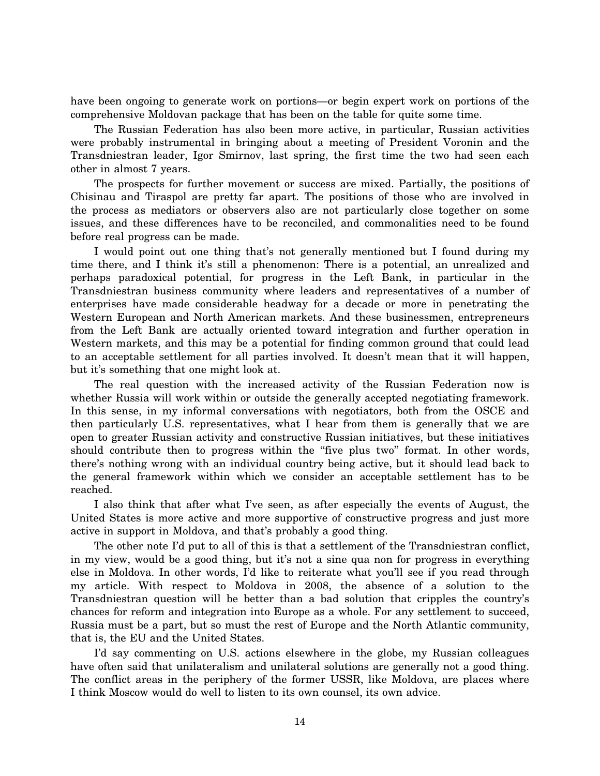have been ongoing to generate work on portions—or begin expert work on portions of the comprehensive Moldovan package that has been on the table for quite some time.

The Russian Federation has also been more active, in particular, Russian activities were probably instrumental in bringing about a meeting of President Voronin and the Transdniestran leader, Igor Smirnov, last spring, the first time the two had seen each other in almost 7 years.

The prospects for further movement or success are mixed. Partially, the positions of Chisinau and Tiraspol are pretty far apart. The positions of those who are involved in the process as mediators or observers also are not particularly close together on some issues, and these differences have to be reconciled, and commonalities need to be found before real progress can be made.

I would point out one thing that's not generally mentioned but I found during my time there, and I think it's still a phenomenon: There is a potential, an unrealized and perhaps paradoxical potential, for progress in the Left Bank, in particular in the Transdniestran business community where leaders and representatives of a number of enterprises have made considerable headway for a decade or more in penetrating the Western European and North American markets. And these businessmen, entrepreneurs from the Left Bank are actually oriented toward integration and further operation in Western markets, and this may be a potential for finding common ground that could lead to an acceptable settlement for all parties involved. It doesn't mean that it will happen, but it's something that one might look at.

The real question with the increased activity of the Russian Federation now is whether Russia will work within or outside the generally accepted negotiating framework. In this sense, in my informal conversations with negotiators, both from the OSCE and then particularly U.S. representatives, what I hear from them is generally that we are open to greater Russian activity and constructive Russian initiatives, but these initiatives should contribute then to progress within the "five plus two" format. In other words, there's nothing wrong with an individual country being active, but it should lead back to the general framework within which we consider an acceptable settlement has to be reached.

I also think that after what I've seen, as after especially the events of August, the United States is more active and more supportive of constructive progress and just more active in support in Moldova, and that's probably a good thing.

The other note I'd put to all of this is that a settlement of the Transdniestran conflict, in my view, would be a good thing, but it's not a sine qua non for progress in everything else in Moldova. In other words, I'd like to reiterate what you'll see if you read through my article. With respect to Moldova in 2008, the absence of a solution to the Transdniestran question will be better than a bad solution that cripples the country's chances for reform and integration into Europe as a whole. For any settlement to succeed, Russia must be a part, but so must the rest of Europe and the North Atlantic community, that is, the EU and the United States.

I'd say commenting on U.S. actions elsewhere in the globe, my Russian colleagues have often said that unilateralism and unilateral solutions are generally not a good thing. The conflict areas in the periphery of the former USSR, like Moldova, are places where I think Moscow would do well to listen to its own counsel, its own advice.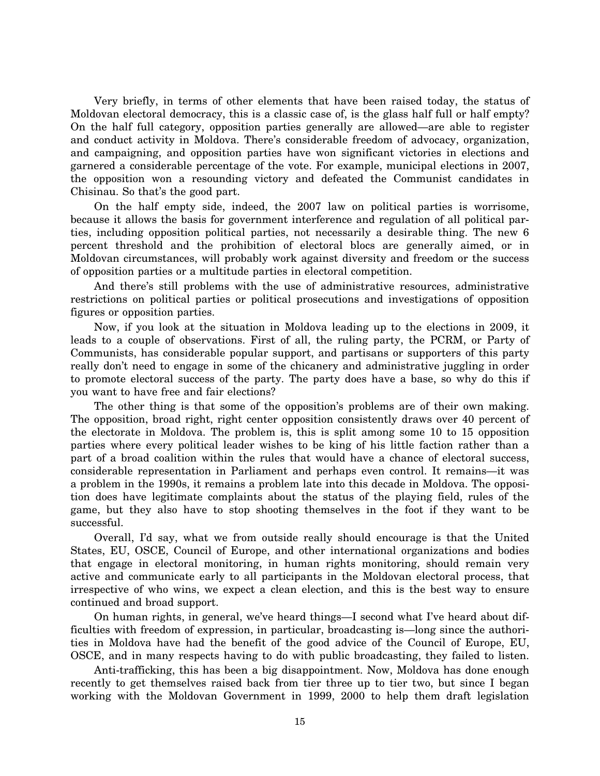Very briefly, in terms of other elements that have been raised today, the status of Moldovan electoral democracy, this is a classic case of, is the glass half full or half empty? On the half full category, opposition parties generally are allowed—are able to register and conduct activity in Moldova. There's considerable freedom of advocacy, organization, and campaigning, and opposition parties have won significant victories in elections and garnered a considerable percentage of the vote. For example, municipal elections in 2007, the opposition won a resounding victory and defeated the Communist candidates in Chisinau. So that's the good part.

On the half empty side, indeed, the 2007 law on political parties is worrisome, because it allows the basis for government interference and regulation of all political parties, including opposition political parties, not necessarily a desirable thing. The new 6 percent threshold and the prohibition of electoral blocs are generally aimed, or in Moldovan circumstances, will probably work against diversity and freedom or the success of opposition parties or a multitude parties in electoral competition.

And there's still problems with the use of administrative resources, administrative restrictions on political parties or political prosecutions and investigations of opposition figures or opposition parties.

Now, if you look at the situation in Moldova leading up to the elections in 2009, it leads to a couple of observations. First of all, the ruling party, the PCRM, or Party of Communists, has considerable popular support, and partisans or supporters of this party really don't need to engage in some of the chicanery and administrative juggling in order to promote electoral success of the party. The party does have a base, so why do this if you want to have free and fair elections?

The other thing is that some of the opposition's problems are of their own making. The opposition, broad right, right center opposition consistently draws over 40 percent of the electorate in Moldova. The problem is, this is split among some 10 to 15 opposition parties where every political leader wishes to be king of his little faction rather than a part of a broad coalition within the rules that would have a chance of electoral success, considerable representation in Parliament and perhaps even control. It remains—it was a problem in the 1990s, it remains a problem late into this decade in Moldova. The opposition does have legitimate complaints about the status of the playing field, rules of the game, but they also have to stop shooting themselves in the foot if they want to be successful.

Overall, I'd say, what we from outside really should encourage is that the United States, EU, OSCE, Council of Europe, and other international organizations and bodies that engage in electoral monitoring, in human rights monitoring, should remain very active and communicate early to all participants in the Moldovan electoral process, that irrespective of who wins, we expect a clean election, and this is the best way to ensure continued and broad support.

On human rights, in general, we've heard things—I second what I've heard about difficulties with freedom of expression, in particular, broadcasting is—long since the authorities in Moldova have had the benefit of the good advice of the Council of Europe, EU, OSCE, and in many respects having to do with public broadcasting, they failed to listen.

Anti-trafficking, this has been a big disappointment. Now, Moldova has done enough recently to get themselves raised back from tier three up to tier two, but since I began working with the Moldovan Government in 1999, 2000 to help them draft legislation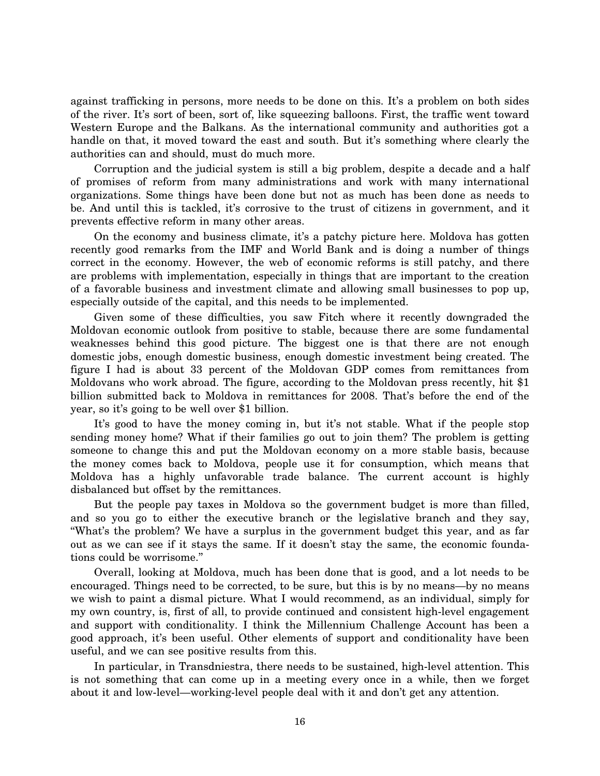against trafficking in persons, more needs to be done on this. It's a problem on both sides of the river. It's sort of been, sort of, like squeezing balloons. First, the traffic went toward Western Europe and the Balkans. As the international community and authorities got a handle on that, it moved toward the east and south. But it's something where clearly the authorities can and should, must do much more.

Corruption and the judicial system is still a big problem, despite a decade and a half of promises of reform from many administrations and work with many international organizations. Some things have been done but not as much has been done as needs to be. And until this is tackled, it's corrosive to the trust of citizens in government, and it prevents effective reform in many other areas.

On the economy and business climate, it's a patchy picture here. Moldova has gotten recently good remarks from the IMF and World Bank and is doing a number of things correct in the economy. However, the web of economic reforms is still patchy, and there are problems with implementation, especially in things that are important to the creation of a favorable business and investment climate and allowing small businesses to pop up, especially outside of the capital, and this needs to be implemented.

Given some of these difficulties, you saw Fitch where it recently downgraded the Moldovan economic outlook from positive to stable, because there are some fundamental weaknesses behind this good picture. The biggest one is that there are not enough domestic jobs, enough domestic business, enough domestic investment being created. The figure I had is about 33 percent of the Moldovan GDP comes from remittances from Moldovans who work abroad. The figure, according to the Moldovan press recently, hit \$1 billion submitted back to Moldova in remittances for 2008. That's before the end of the year, so it's going to be well over \$1 billion.

It's good to have the money coming in, but it's not stable. What if the people stop sending money home? What if their families go out to join them? The problem is getting someone to change this and put the Moldovan economy on a more stable basis, because the money comes back to Moldova, people use it for consumption, which means that Moldova has a highly unfavorable trade balance. The current account is highly disbalanced but offset by the remittances.

But the people pay taxes in Moldova so the government budget is more than filled, and so you go to either the executive branch or the legislative branch and they say, ''What's the problem? We have a surplus in the government budget this year, and as far out as we can see if it stays the same. If it doesn't stay the same, the economic foundations could be worrisome.''

Overall, looking at Moldova, much has been done that is good, and a lot needs to be encouraged. Things need to be corrected, to be sure, but this is by no means—by no means we wish to paint a dismal picture. What I would recommend, as an individual, simply for my own country, is, first of all, to provide continued and consistent high-level engagement and support with conditionality. I think the Millennium Challenge Account has been a good approach, it's been useful. Other elements of support and conditionality have been useful, and we can see positive results from this.

In particular, in Transdniestra, there needs to be sustained, high-level attention. This is not something that can come up in a meeting every once in a while, then we forget about it and low-level—working-level people deal with it and don't get any attention.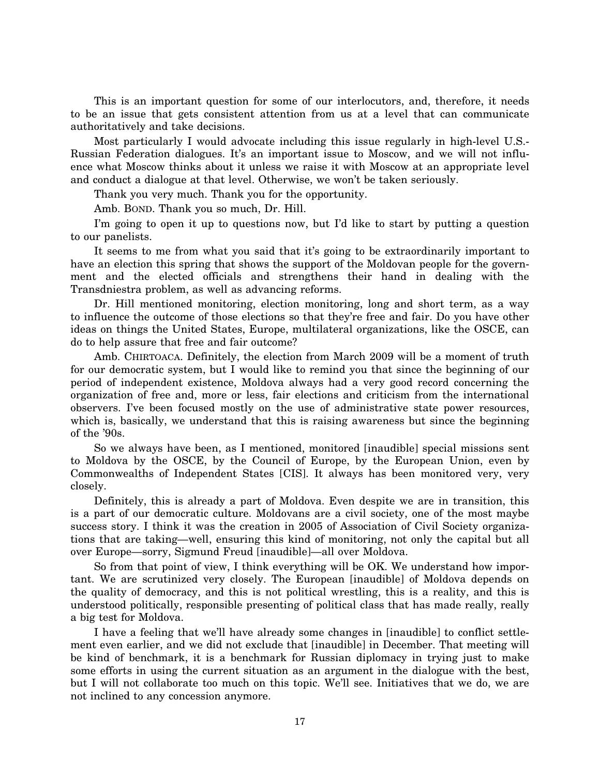This is an important question for some of our interlocutors, and, therefore, it needs to be an issue that gets consistent attention from us at a level that can communicate authoritatively and take decisions.

Most particularly I would advocate including this issue regularly in high-level U.S.- Russian Federation dialogues. It's an important issue to Moscow, and we will not influence what Moscow thinks about it unless we raise it with Moscow at an appropriate level and conduct a dialogue at that level. Otherwise, we won't be taken seriously.

Thank you very much. Thank you for the opportunity.

Amb. BOND. Thank you so much, Dr. Hill.

I'm going to open it up to questions now, but I'd like to start by putting a question to our panelists.

It seems to me from what you said that it's going to be extraordinarily important to have an election this spring that shows the support of the Moldovan people for the government and the elected officials and strengthens their hand in dealing with the Transdniestra problem, as well as advancing reforms.

Dr. Hill mentioned monitoring, election monitoring, long and short term, as a way to influence the outcome of those elections so that they're free and fair. Do you have other ideas on things the United States, Europe, multilateral organizations, like the OSCE, can do to help assure that free and fair outcome?

Amb. CHIRTOACA. Definitely, the election from March 2009 will be a moment of truth for our democratic system, but I would like to remind you that since the beginning of our period of independent existence, Moldova always had a very good record concerning the organization of free and, more or less, fair elections and criticism from the international observers. I've been focused mostly on the use of administrative state power resources, which is, basically, we understand that this is raising awareness but since the beginning of the '90s.

So we always have been, as I mentioned, monitored [inaudible] special missions sent to Moldova by the OSCE, by the Council of Europe, by the European Union, even by Commonwealths of Independent States [CIS]. It always has been monitored very, very closely.

Definitely, this is already a part of Moldova. Even despite we are in transition, this is a part of our democratic culture. Moldovans are a civil society, one of the most maybe success story. I think it was the creation in 2005 of Association of Civil Society organizations that are taking—well, ensuring this kind of monitoring, not only the capital but all over Europe—sorry, Sigmund Freud [inaudible]—all over Moldova.

So from that point of view, I think everything will be OK. We understand how important. We are scrutinized very closely. The European [inaudible] of Moldova depends on the quality of democracy, and this is not political wrestling, this is a reality, and this is understood politically, responsible presenting of political class that has made really, really a big test for Moldova.

I have a feeling that we'll have already some changes in [inaudible] to conflict settlement even earlier, and we did not exclude that [inaudible] in December. That meeting will be kind of benchmark, it is a benchmark for Russian diplomacy in trying just to make some efforts in using the current situation as an argument in the dialogue with the best, but I will not collaborate too much on this topic. We'll see. Initiatives that we do, we are not inclined to any concession anymore.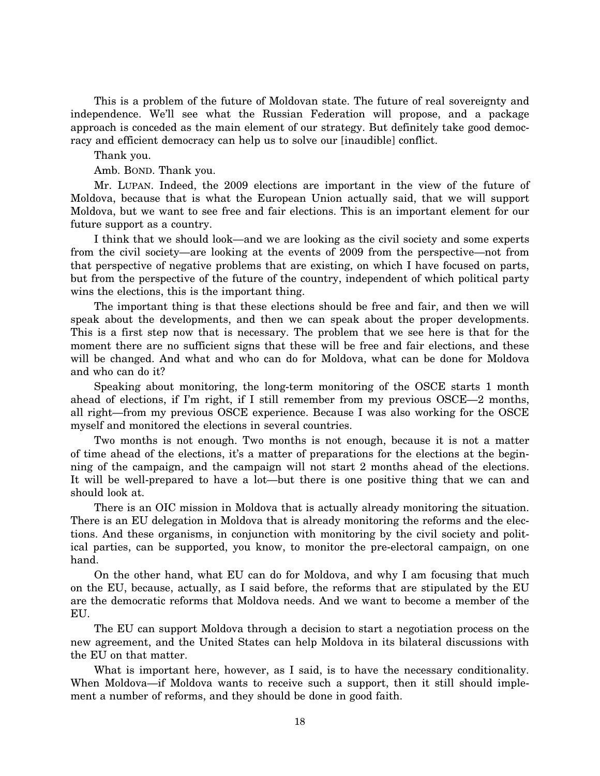This is a problem of the future of Moldovan state. The future of real sovereignty and independence. We'll see what the Russian Federation will propose, and a package approach is conceded as the main element of our strategy. But definitely take good democracy and efficient democracy can help us to solve our [inaudible] conflict.

Thank you.

Amb. BOND. Thank you.

Mr. LUPAN. Indeed, the 2009 elections are important in the view of the future of Moldova, because that is what the European Union actually said, that we will support Moldova, but we want to see free and fair elections. This is an important element for our future support as a country.

I think that we should look—and we are looking as the civil society and some experts from the civil society—are looking at the events of 2009 from the perspective—not from that perspective of negative problems that are existing, on which I have focused on parts, but from the perspective of the future of the country, independent of which political party wins the elections, this is the important thing.

The important thing is that these elections should be free and fair, and then we will speak about the developments, and then we can speak about the proper developments. This is a first step now that is necessary. The problem that we see here is that for the moment there are no sufficient signs that these will be free and fair elections, and these will be changed. And what and who can do for Moldova, what can be done for Moldova and who can do it?

Speaking about monitoring, the long-term monitoring of the OSCE starts 1 month ahead of elections, if I'm right, if I still remember from my previous OSCE—2 months, all right—from my previous OSCE experience. Because I was also working for the OSCE myself and monitored the elections in several countries.

Two months is not enough. Two months is not enough, because it is not a matter of time ahead of the elections, it's a matter of preparations for the elections at the beginning of the campaign, and the campaign will not start 2 months ahead of the elections. It will be well-prepared to have a lot—but there is one positive thing that we can and should look at.

There is an OIC mission in Moldova that is actually already monitoring the situation. There is an EU delegation in Moldova that is already monitoring the reforms and the elections. And these organisms, in conjunction with monitoring by the civil society and political parties, can be supported, you know, to monitor the pre-electoral campaign, on one hand.

On the other hand, what EU can do for Moldova, and why I am focusing that much on the EU, because, actually, as I said before, the reforms that are stipulated by the EU are the democratic reforms that Moldova needs. And we want to become a member of the EU.

The EU can support Moldova through a decision to start a negotiation process on the new agreement, and the United States can help Moldova in its bilateral discussions with the EU on that matter.

What is important here, however, as I said, is to have the necessary conditionality. When Moldova—if Moldova wants to receive such a support, then it still should implement a number of reforms, and they should be done in good faith.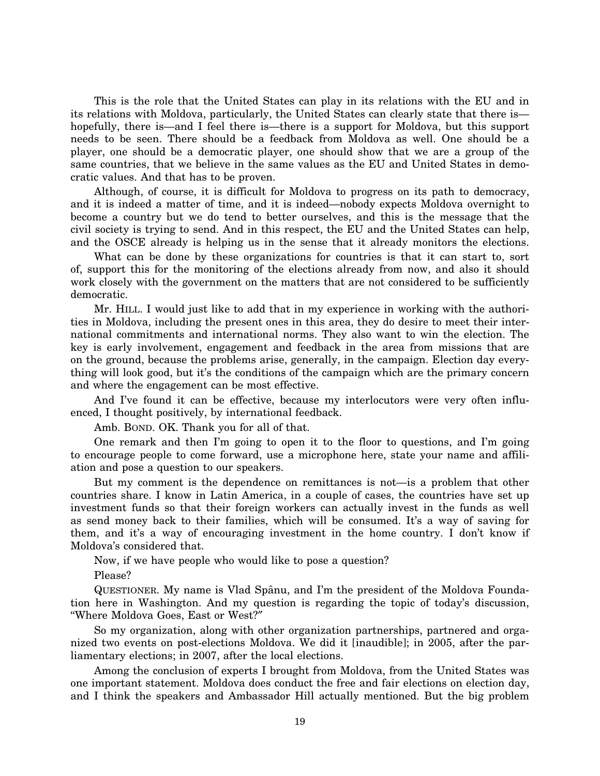This is the role that the United States can play in its relations with the EU and in its relations with Moldova, particularly, the United States can clearly state that there is hopefully, there is—and I feel there is—there is a support for Moldova, but this support needs to be seen. There should be a feedback from Moldova as well. One should be a player, one should be a democratic player, one should show that we are a group of the same countries, that we believe in the same values as the EU and United States in democratic values. And that has to be proven.

Although, of course, it is difficult for Moldova to progress on its path to democracy, and it is indeed a matter of time, and it is indeed—nobody expects Moldova overnight to become a country but we do tend to better ourselves, and this is the message that the civil society is trying to send. And in this respect, the EU and the United States can help, and the OSCE already is helping us in the sense that it already monitors the elections.

What can be done by these organizations for countries is that it can start to, sort of, support this for the monitoring of the elections already from now, and also it should work closely with the government on the matters that are not considered to be sufficiently democratic.

Mr. HILL. I would just like to add that in my experience in working with the authorities in Moldova, including the present ones in this area, they do desire to meet their international commitments and international norms. They also want to win the election. The key is early involvement, engagement and feedback in the area from missions that are on the ground, because the problems arise, generally, in the campaign. Election day everything will look good, but it's the conditions of the campaign which are the primary concern and where the engagement can be most effective.

And I've found it can be effective, because my interlocutors were very often influenced, I thought positively, by international feedback.

Amb. BOND. OK. Thank you for all of that.

One remark and then I'm going to open it to the floor to questions, and I'm going to encourage people to come forward, use a microphone here, state your name and affiliation and pose a question to our speakers.

But my comment is the dependence on remittances is not—is a problem that other countries share. I know in Latin America, in a couple of cases, the countries have set up investment funds so that their foreign workers can actually invest in the funds as well as send money back to their families, which will be consumed. It's a way of saving for them, and it's a way of encouraging investment in the home country. I don't know if Moldova's considered that.

Now, if we have people who would like to pose a question?

Please?

QUESTIONER. My name is Vlad Spaˆnu, and I'm the president of the Moldova Foundation here in Washington. And my question is regarding the topic of today's discussion, ''Where Moldova Goes, East or West?″

So my organization, along with other organization partnerships, partnered and organized two events on post-elections Moldova. We did it [inaudible]; in 2005, after the parliamentary elections; in 2007, after the local elections.

Among the conclusion of experts I brought from Moldova, from the United States was one important statement. Moldova does conduct the free and fair elections on election day, and I think the speakers and Ambassador Hill actually mentioned. But the big problem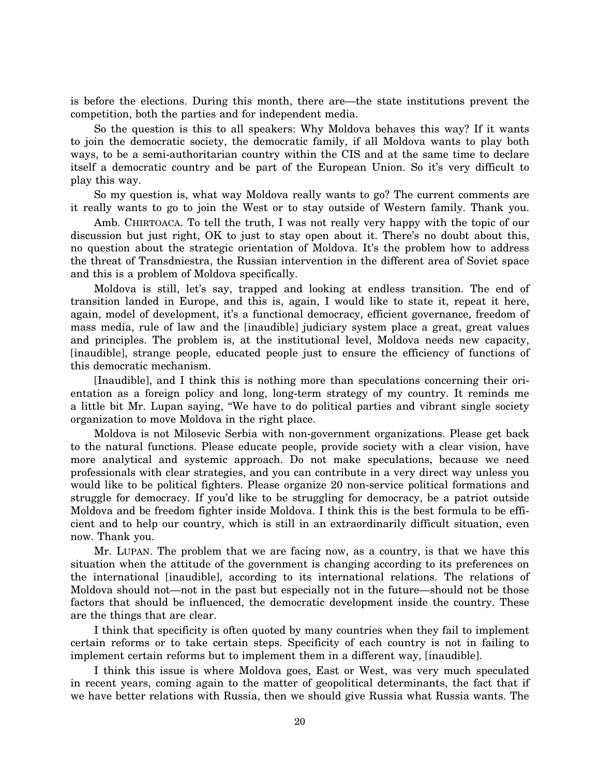is before the elections. During this month, there are—the state institutions prevent the competition, both the parties and for independent media.

So the question is this to all speakers: Why Moldova behaves this way? If it wants to join the democratic society, the democratic family, if all Moldova wants to play both ways, to be a semi-authoritarian country within the CIS and at the same time to declare itself a democratic country and be part of the European Union. So it's very difficult to play this way.

So my question is, what way Moldova really wants to go? The current comments are it really wants to go to join the West or to stay outside of Western family. Thank you.

Amb. CHIRTOACA. To tell the truth, I was not really very happy with the topic of our discussion but just right, OK to just to stay open about it. There's no doubt about this, no question about the strategic orientation of Moldova. It's the problem how to address the threat of Transdniestra, the Russian intervention in the different area of Soviet space and this is a problem of Moldova specifically.

Moldova is still, let's say, trapped and looking at endless transition. The end of transition landed in Europe, and this is, again, I would like to state it, repeat it here, again, model of development, it's a functional democracy, efficient governance, freedom of mass media, rule of law and the [inaudible] judiciary system place a great, great values and principles. The problem is, at the institutional level, Moldova needs new capacity, [inaudible], strange people, educated people just to ensure the efficiency of functions of this democratic mechanism.

[Inaudible], and I think this is nothing more than speculations concerning their orientation as a foreign policy and long, long-term strategy of my country. It reminds me a little bit Mr. Lupan saying, ''We have to do political parties and vibrant single society organization to move Moldova in the right place.

Moldova is not Milosevic Serbia with non-government organizations. Please get back to the natural functions. Please educate people, provide society with a clear vision, have more analytical and systemic approach. Do not make speculations, because we need professionals with clear strategies, and you can contribute in a very direct way unless you would like to be political fighters. Please organize 20 non-service political formations and struggle for democracy. If you'd like to be struggling for democracy, be a patriot outside Moldova and be freedom fighter inside Moldova. I think this is the best formula to be efficient and to help our country, which is still in an extraordinarily difficult situation, even now. Thank you.

Mr. LUPAN. The problem that we are facing now, as a country, is that we have this situation when the attitude of the government is changing according to its preferences on the international [inaudible], according to its international relations. The relations of Moldova should not—not in the past but especially not in the future—should not be those factors that should be influenced, the democratic development inside the country. These are the things that are clear.

I think that specificity is often quoted by many countries when they fail to implement certain reforms or to take certain steps. Specificity of each country is not in failing to implement certain reforms but to implement them in a different way, [inaudible].

I think this issue is where Moldova goes, East or West, was very much speculated in recent years, coming again to the matter of geopolitical determinants, the fact that if we have better relations with Russia, then we should give Russia what Russia wants. The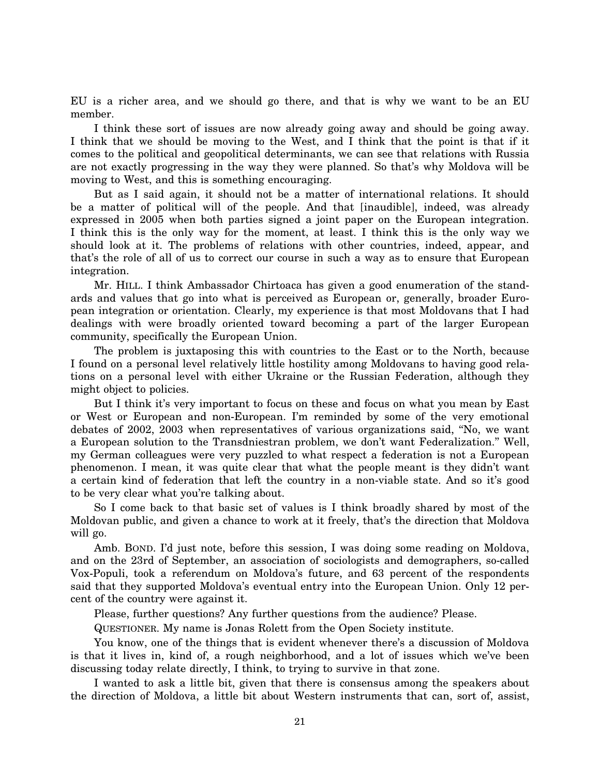EU is a richer area, and we should go there, and that is why we want to be an EU member.

I think these sort of issues are now already going away and should be going away. I think that we should be moving to the West, and I think that the point is that if it comes to the political and geopolitical determinants, we can see that relations with Russia are not exactly progressing in the way they were planned. So that's why Moldova will be moving to West, and this is something encouraging.

But as I said again, it should not be a matter of international relations. It should be a matter of political will of the people. And that [inaudible], indeed, was already expressed in 2005 when both parties signed a joint paper on the European integration. I think this is the only way for the moment, at least. I think this is the only way we should look at it. The problems of relations with other countries, indeed, appear, and that's the role of all of us to correct our course in such a way as to ensure that European integration.

Mr. HILL. I think Ambassador Chirtoaca has given a good enumeration of the standards and values that go into what is perceived as European or, generally, broader European integration or orientation. Clearly, my experience is that most Moldovans that I had dealings with were broadly oriented toward becoming a part of the larger European community, specifically the European Union.

The problem is juxtaposing this with countries to the East or to the North, because I found on a personal level relatively little hostility among Moldovans to having good relations on a personal level with either Ukraine or the Russian Federation, although they might object to policies.

But I think it's very important to focus on these and focus on what you mean by East or West or European and non-European. I'm reminded by some of the very emotional debates of 2002, 2003 when representatives of various organizations said, ''No, we want a European solution to the Transdniestran problem, we don't want Federalization.'' Well, my German colleagues were very puzzled to what respect a federation is not a European phenomenon. I mean, it was quite clear that what the people meant is they didn't want a certain kind of federation that left the country in a non-viable state. And so it's good to be very clear what you're talking about.

So I come back to that basic set of values is I think broadly shared by most of the Moldovan public, and given a chance to work at it freely, that's the direction that Moldova will go.

Amb. BOND. I'd just note, before this session, I was doing some reading on Moldova, and on the 23rd of September, an association of sociologists and demographers, so-called Vox-Populi, took a referendum on Moldova's future, and 63 percent of the respondents said that they supported Moldova's eventual entry into the European Union. Only 12 percent of the country were against it.

Please, further questions? Any further questions from the audience? Please.

QUESTIONER. My name is Jonas Rolett from the Open Society institute.

You know, one of the things that is evident whenever there's a discussion of Moldova is that it lives in, kind of, a rough neighborhood, and a lot of issues which we've been discussing today relate directly, I think, to trying to survive in that zone.

I wanted to ask a little bit, given that there is consensus among the speakers about the direction of Moldova, a little bit about Western instruments that can, sort of, assist,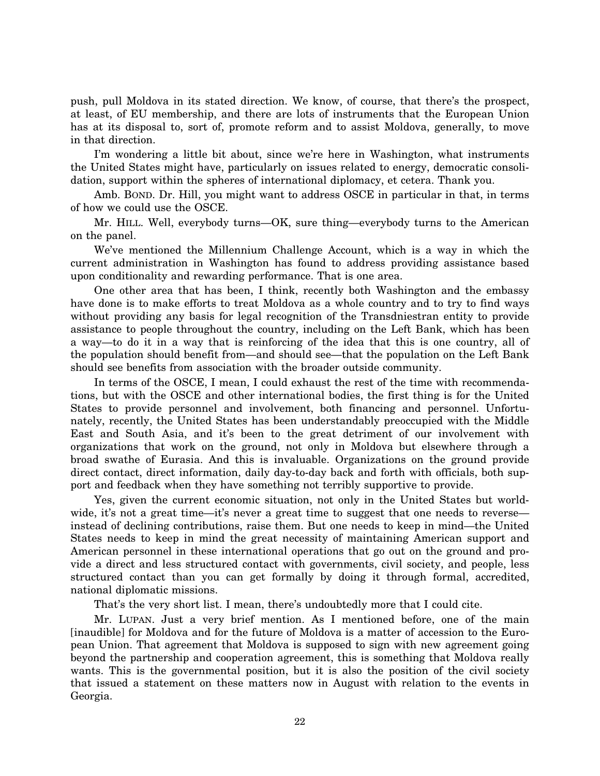push, pull Moldova in its stated direction. We know, of course, that there's the prospect, at least, of EU membership, and there are lots of instruments that the European Union has at its disposal to, sort of, promote reform and to assist Moldova, generally, to move in that direction.

I'm wondering a little bit about, since we're here in Washington, what instruments the United States might have, particularly on issues related to energy, democratic consolidation, support within the spheres of international diplomacy, et cetera. Thank you.

Amb. BOND. Dr. Hill, you might want to address OSCE in particular in that, in terms of how we could use the OSCE.

Mr. HILL. Well, everybody turns—OK, sure thing—everybody turns to the American on the panel.

We've mentioned the Millennium Challenge Account, which is a way in which the current administration in Washington has found to address providing assistance based upon conditionality and rewarding performance. That is one area.

One other area that has been, I think, recently both Washington and the embassy have done is to make efforts to treat Moldova as a whole country and to try to find ways without providing any basis for legal recognition of the Transdniestran entity to provide assistance to people throughout the country, including on the Left Bank, which has been a way—to do it in a way that is reinforcing of the idea that this is one country, all of the population should benefit from—and should see—that the population on the Left Bank should see benefits from association with the broader outside community.

In terms of the OSCE, I mean, I could exhaust the rest of the time with recommendations, but with the OSCE and other international bodies, the first thing is for the United States to provide personnel and involvement, both financing and personnel. Unfortunately, recently, the United States has been understandably preoccupied with the Middle East and South Asia, and it's been to the great detriment of our involvement with organizations that work on the ground, not only in Moldova but elsewhere through a broad swathe of Eurasia. And this is invaluable. Organizations on the ground provide direct contact, direct information, daily day-to-day back and forth with officials, both support and feedback when they have something not terribly supportive to provide.

Yes, given the current economic situation, not only in the United States but worldwide, it's not a great time—it's never a great time to suggest that one needs to reverse instead of declining contributions, raise them. But one needs to keep in mind—the United States needs to keep in mind the great necessity of maintaining American support and American personnel in these international operations that go out on the ground and provide a direct and less structured contact with governments, civil society, and people, less structured contact than you can get formally by doing it through formal, accredited, national diplomatic missions.

That's the very short list. I mean, there's undoubtedly more that I could cite.

Mr. LUPAN. Just a very brief mention. As I mentioned before, one of the main [inaudible] for Moldova and for the future of Moldova is a matter of accession to the European Union. That agreement that Moldova is supposed to sign with new agreement going beyond the partnership and cooperation agreement, this is something that Moldova really wants. This is the governmental position, but it is also the position of the civil society that issued a statement on these matters now in August with relation to the events in Georgia.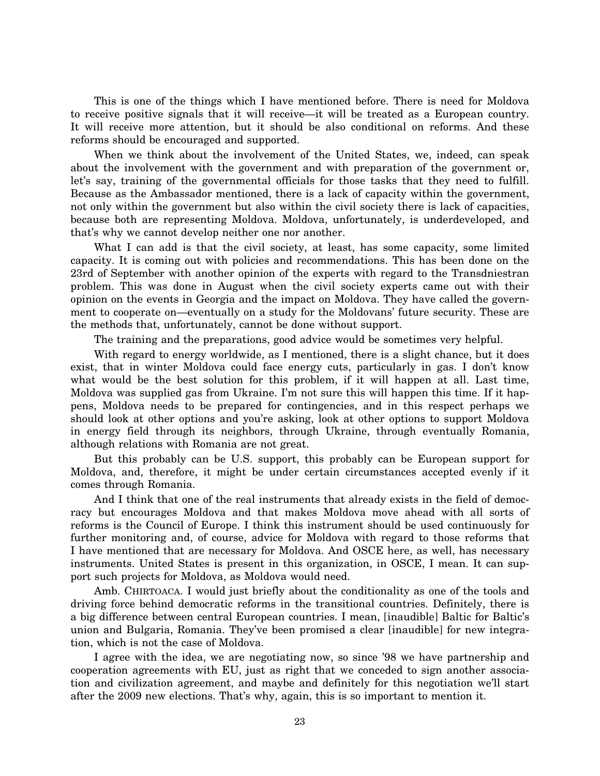This is one of the things which I have mentioned before. There is need for Moldova to receive positive signals that it will receive—it will be treated as a European country. It will receive more attention, but it should be also conditional on reforms. And these reforms should be encouraged and supported.

When we think about the involvement of the United States, we, indeed, can speak about the involvement with the government and with preparation of the government or, let's say, training of the governmental officials for those tasks that they need to fulfill. Because as the Ambassador mentioned, there is a lack of capacity within the government, not only within the government but also within the civil society there is lack of capacities, because both are representing Moldova. Moldova, unfortunately, is underdeveloped, and that's why we cannot develop neither one nor another.

What I can add is that the civil society, at least, has some capacity, some limited capacity. It is coming out with policies and recommendations. This has been done on the 23rd of September with another opinion of the experts with regard to the Transdniestran problem. This was done in August when the civil society experts came out with their opinion on the events in Georgia and the impact on Moldova. They have called the government to cooperate on—eventually on a study for the Moldovans' future security. These are the methods that, unfortunately, cannot be done without support.

The training and the preparations, good advice would be sometimes very helpful.

With regard to energy worldwide, as I mentioned, there is a slight chance, but it does exist, that in winter Moldova could face energy cuts, particularly in gas. I don't know what would be the best solution for this problem, if it will happen at all. Last time, Moldova was supplied gas from Ukraine. I'm not sure this will happen this time. If it happens, Moldova needs to be prepared for contingencies, and in this respect perhaps we should look at other options and you're asking, look at other options to support Moldova in energy field through its neighbors, through Ukraine, through eventually Romania, although relations with Romania are not great.

But this probably can be U.S. support, this probably can be European support for Moldova, and, therefore, it might be under certain circumstances accepted evenly if it comes through Romania.

And I think that one of the real instruments that already exists in the field of democracy but encourages Moldova and that makes Moldova move ahead with all sorts of reforms is the Council of Europe. I think this instrument should be used continuously for further monitoring and, of course, advice for Moldova with regard to those reforms that I have mentioned that are necessary for Moldova. And OSCE here, as well, has necessary instruments. United States is present in this organization, in OSCE, I mean. It can support such projects for Moldova, as Moldova would need.

Amb. CHIRTOACA. I would just briefly about the conditionality as one of the tools and driving force behind democratic reforms in the transitional countries. Definitely, there is a big difference between central European countries. I mean, [inaudible] Baltic for Baltic's union and Bulgaria, Romania. They've been promised a clear [inaudible] for new integration, which is not the case of Moldova.

I agree with the idea, we are negotiating now, so since '98 we have partnership and cooperation agreements with EU, just as right that we conceded to sign another association and civilization agreement, and maybe and definitely for this negotiation we'll start after the 2009 new elections. That's why, again, this is so important to mention it.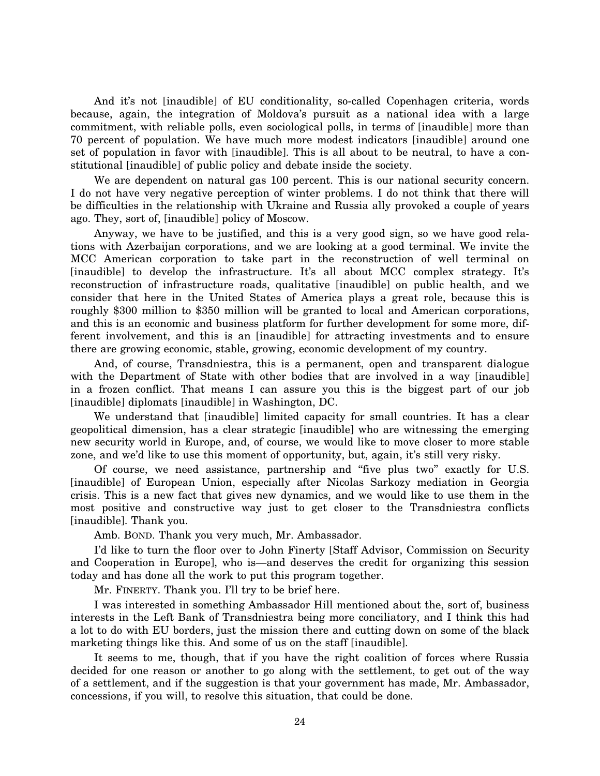And it's not [inaudible] of EU conditionality, so-called Copenhagen criteria, words because, again, the integration of Moldova's pursuit as a national idea with a large commitment, with reliable polls, even sociological polls, in terms of [inaudible] more than 70 percent of population. We have much more modest indicators [inaudible] around one set of population in favor with [inaudible]. This is all about to be neutral, to have a constitutional [inaudible] of public policy and debate inside the society.

We are dependent on natural gas 100 percent. This is our national security concern. I do not have very negative perception of winter problems. I do not think that there will be difficulties in the relationship with Ukraine and Russia ally provoked a couple of years ago. They, sort of, [inaudible] policy of Moscow.

Anyway, we have to be justified, and this is a very good sign, so we have good relations with Azerbaijan corporations, and we are looking at a good terminal. We invite the MCC American corporation to take part in the reconstruction of well terminal on [inaudible] to develop the infrastructure. It's all about MCC complex strategy. It's reconstruction of infrastructure roads, qualitative [inaudible] on public health, and we consider that here in the United States of America plays a great role, because this is roughly \$300 million to \$350 million will be granted to local and American corporations, and this is an economic and business platform for further development for some more, different involvement, and this is an [inaudible] for attracting investments and to ensure there are growing economic, stable, growing, economic development of my country.

And, of course, Transdniestra, this is a permanent, open and transparent dialogue with the Department of State with other bodies that are involved in a way [inaudible] in a frozen conflict. That means I can assure you this is the biggest part of our job [inaudible] diplomats [inaudible] in Washington, DC.

We understand that [inaudible] limited capacity for small countries. It has a clear geopolitical dimension, has a clear strategic [inaudible] who are witnessing the emerging new security world in Europe, and, of course, we would like to move closer to more stable zone, and we'd like to use this moment of opportunity, but, again, it's still very risky.

Of course, we need assistance, partnership and ''five plus two'' exactly for U.S. [inaudible] of European Union, especially after Nicolas Sarkozy mediation in Georgia crisis. This is a new fact that gives new dynamics, and we would like to use them in the most positive and constructive way just to get closer to the Transdniestra conflicts [inaudible]. Thank you.

Amb. BOND. Thank you very much, Mr. Ambassador.

I'd like to turn the floor over to John Finerty [Staff Advisor, Commission on Security and Cooperation in Europe], who is—and deserves the credit for organizing this session today and has done all the work to put this program together.

Mr. FINERTY. Thank you. I'll try to be brief here.

I was interested in something Ambassador Hill mentioned about the, sort of, business interests in the Left Bank of Transdniestra being more conciliatory, and I think this had a lot to do with EU borders, just the mission there and cutting down on some of the black marketing things like this. And some of us on the staff [inaudible].

It seems to me, though, that if you have the right coalition of forces where Russia decided for one reason or another to go along with the settlement, to get out of the way of a settlement, and if the suggestion is that your government has made, Mr. Ambassador, concessions, if you will, to resolve this situation, that could be done.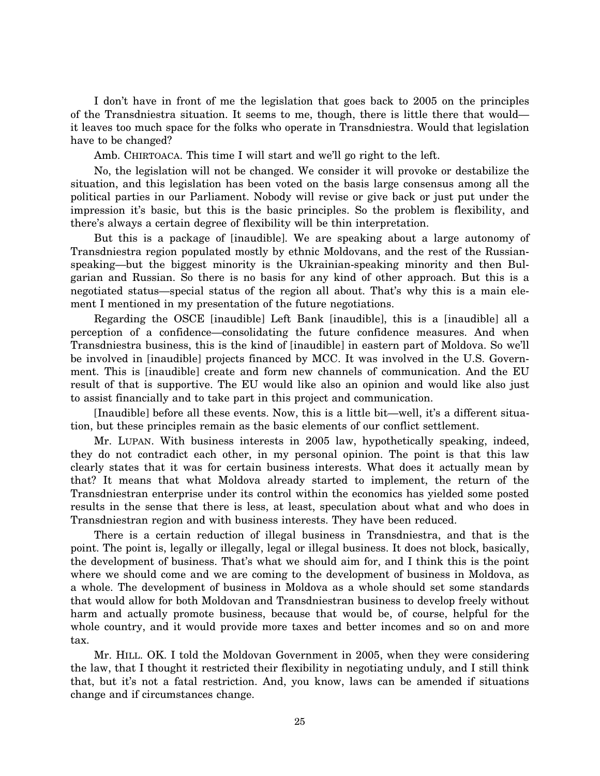I don't have in front of me the legislation that goes back to 2005 on the principles of the Transdniestra situation. It seems to me, though, there is little there that would it leaves too much space for the folks who operate in Transdniestra. Would that legislation have to be changed?

Amb. CHIRTOACA. This time I will start and we'll go right to the left.

No, the legislation will not be changed. We consider it will provoke or destabilize the situation, and this legislation has been voted on the basis large consensus among all the political parties in our Parliament. Nobody will revise or give back or just put under the impression it's basic, but this is the basic principles. So the problem is flexibility, and there's always a certain degree of flexibility will be thin interpretation.

But this is a package of [inaudible]. We are speaking about a large autonomy of Transdniestra region populated mostly by ethnic Moldovans, and the rest of the Russianspeaking—but the biggest minority is the Ukrainian-speaking minority and then Bulgarian and Russian. So there is no basis for any kind of other approach. But this is a negotiated status—special status of the region all about. That's why this is a main element I mentioned in my presentation of the future negotiations.

Regarding the OSCE [inaudible] Left Bank [inaudible], this is a [inaudible] all a perception of a confidence—consolidating the future confidence measures. And when Transdniestra business, this is the kind of [inaudible] in eastern part of Moldova. So we'll be involved in [inaudible] projects financed by MCC. It was involved in the U.S. Government. This is [inaudible] create and form new channels of communication. And the EU result of that is supportive. The EU would like also an opinion and would like also just to assist financially and to take part in this project and communication.

[Inaudible] before all these events. Now, this is a little bit—well, it's a different situation, but these principles remain as the basic elements of our conflict settlement.

Mr. LUPAN. With business interests in 2005 law, hypothetically speaking, indeed, they do not contradict each other, in my personal opinion. The point is that this law clearly states that it was for certain business interests. What does it actually mean by that? It means that what Moldova already started to implement, the return of the Transdniestran enterprise under its control within the economics has yielded some posted results in the sense that there is less, at least, speculation about what and who does in Transdniestran region and with business interests. They have been reduced.

There is a certain reduction of illegal business in Transdniestra, and that is the point. The point is, legally or illegally, legal or illegal business. It does not block, basically, the development of business. That's what we should aim for, and I think this is the point where we should come and we are coming to the development of business in Moldova, as a whole. The development of business in Moldova as a whole should set some standards that would allow for both Moldovan and Transdniestran business to develop freely without harm and actually promote business, because that would be, of course, helpful for the whole country, and it would provide more taxes and better incomes and so on and more tax.

Mr. HILL. OK. I told the Moldovan Government in 2005, when they were considering the law, that I thought it restricted their flexibility in negotiating unduly, and I still think that, but it's not a fatal restriction. And, you know, laws can be amended if situations change and if circumstances change.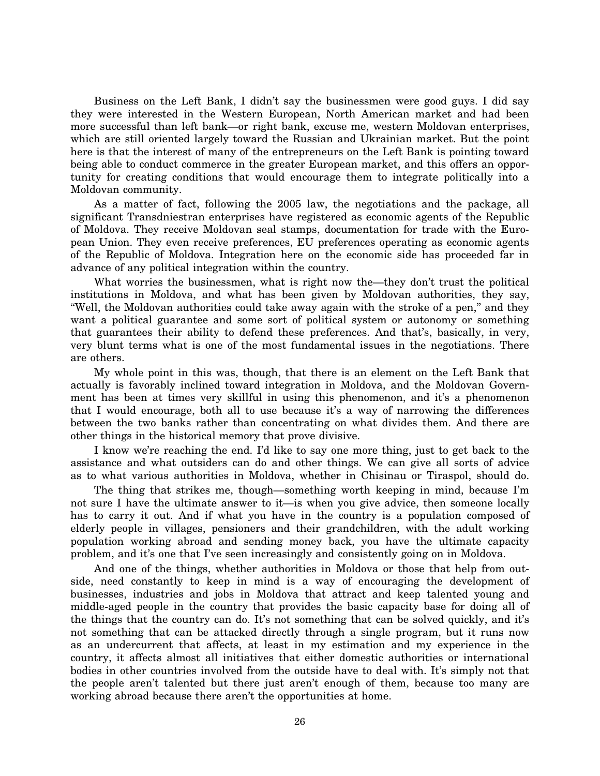Business on the Left Bank, I didn't say the businessmen were good guys. I did say they were interested in the Western European, North American market and had been more successful than left bank—or right bank, excuse me, western Moldovan enterprises, which are still oriented largely toward the Russian and Ukrainian market. But the point here is that the interest of many of the entrepreneurs on the Left Bank is pointing toward being able to conduct commerce in the greater European market, and this offers an opportunity for creating conditions that would encourage them to integrate politically into a Moldovan community.

As a matter of fact, following the 2005 law, the negotiations and the package, all significant Transdniestran enterprises have registered as economic agents of the Republic of Moldova. They receive Moldovan seal stamps, documentation for trade with the European Union. They even receive preferences, EU preferences operating as economic agents of the Republic of Moldova. Integration here on the economic side has proceeded far in advance of any political integration within the country.

What worries the businessmen, what is right now the—they don't trust the political institutions in Moldova, and what has been given by Moldovan authorities, they say, ''Well, the Moldovan authorities could take away again with the stroke of a pen,'' and they want a political guarantee and some sort of political system or autonomy or something that guarantees their ability to defend these preferences. And that's, basically, in very, very blunt terms what is one of the most fundamental issues in the negotiations. There are others.

My whole point in this was, though, that there is an element on the Left Bank that actually is favorably inclined toward integration in Moldova, and the Moldovan Government has been at times very skillful in using this phenomenon, and it's a phenomenon that I would encourage, both all to use because it's a way of narrowing the differences between the two banks rather than concentrating on what divides them. And there are other things in the historical memory that prove divisive.

I know we're reaching the end. I'd like to say one more thing, just to get back to the assistance and what outsiders can do and other things. We can give all sorts of advice as to what various authorities in Moldova, whether in Chisinau or Tiraspol, should do.

The thing that strikes me, though—something worth keeping in mind, because I'm not sure I have the ultimate answer to it—is when you give advice, then someone locally has to carry it out. And if what you have in the country is a population composed of elderly people in villages, pensioners and their grandchildren, with the adult working population working abroad and sending money back, you have the ultimate capacity problem, and it's one that I've seen increasingly and consistently going on in Moldova.

And one of the things, whether authorities in Moldova or those that help from outside, need constantly to keep in mind is a way of encouraging the development of businesses, industries and jobs in Moldova that attract and keep talented young and middle-aged people in the country that provides the basic capacity base for doing all of the things that the country can do. It's not something that can be solved quickly, and it's not something that can be attacked directly through a single program, but it runs now as an undercurrent that affects, at least in my estimation and my experience in the country, it affects almost all initiatives that either domestic authorities or international bodies in other countries involved from the outside have to deal with. It's simply not that the people aren't talented but there just aren't enough of them, because too many are working abroad because there aren't the opportunities at home.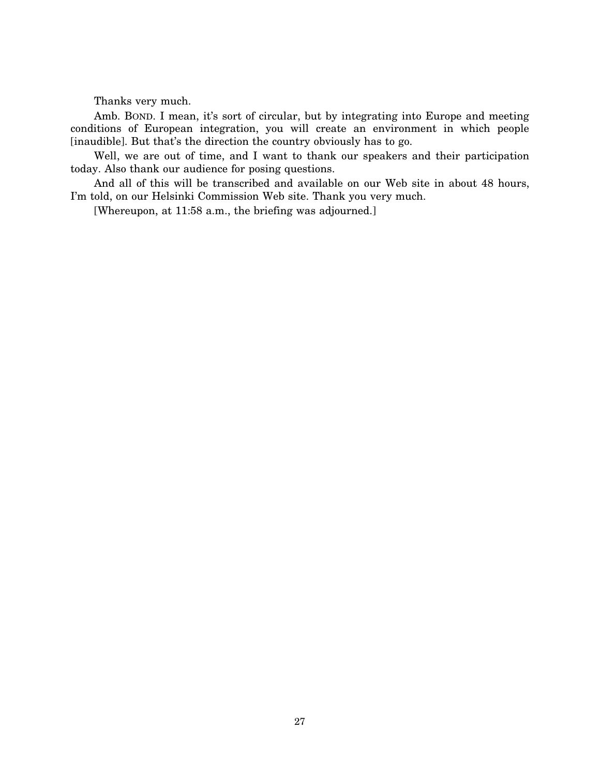Thanks very much.

Amb. BOND. I mean, it's sort of circular, but by integrating into Europe and meeting conditions of European integration, you will create an environment in which people [inaudible]. But that's the direction the country obviously has to go.

Well, we are out of time, and I want to thank our speakers and their participation today. Also thank our audience for posing questions.

And all of this will be transcribed and available on our Web site in about 48 hours, I'm told, on our Helsinki Commission Web site. Thank you very much.

[Whereupon, at 11:58 a.m., the briefing was adjourned.]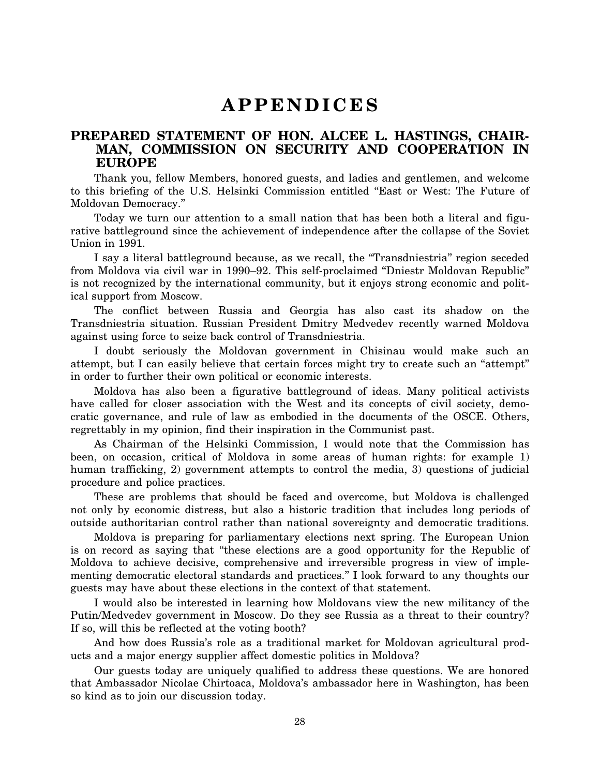# **A P P E N D I C E S**

### **PREPARED STATEMENT OF HON. ALCEE L. HASTINGS, CHAIR-MAN, COMMISSION ON SECURITY AND COOPERATION IN EUROPE**

Thank you, fellow Members, honored guests, and ladies and gentlemen, and welcome to this briefing of the U.S. Helsinki Commission entitled ''East or West: The Future of Moldovan Democracy.''

Today we turn our attention to a small nation that has been both a literal and figurative battleground since the achievement of independence after the collapse of the Soviet Union in 1991.

I say a literal battleground because, as we recall, the "Transdniestria" region seceded from Moldova via civil war in 1990–92. This self-proclaimed ''Dniestr Moldovan Republic'' is not recognized by the international community, but it enjoys strong economic and political support from Moscow.

The conflict between Russia and Georgia has also cast its shadow on the Transdniestria situation. Russian President Dmitry Medvedev recently warned Moldova against using force to seize back control of Transdniestria.

I doubt seriously the Moldovan government in Chisinau would make such an attempt, but I can easily believe that certain forces might try to create such an ''attempt'' in order to further their own political or economic interests.

Moldova has also been a figurative battleground of ideas. Many political activists have called for closer association with the West and its concepts of civil society, democratic governance, and rule of law as embodied in the documents of the OSCE. Others, regrettably in my opinion, find their inspiration in the Communist past.

As Chairman of the Helsinki Commission, I would note that the Commission has been, on occasion, critical of Moldova in some areas of human rights: for example 1) human trafficking, 2) government attempts to control the media, 3) questions of judicial procedure and police practices.

These are problems that should be faced and overcome, but Moldova is challenged not only by economic distress, but also a historic tradition that includes long periods of outside authoritarian control rather than national sovereignty and democratic traditions.

Moldova is preparing for parliamentary elections next spring. The European Union is on record as saying that ''these elections are a good opportunity for the Republic of Moldova to achieve decisive, comprehensive and irreversible progress in view of implementing democratic electoral standards and practices.'' I look forward to any thoughts our guests may have about these elections in the context of that statement.

I would also be interested in learning how Moldovans view the new militancy of the Putin/Medvedev government in Moscow. Do they see Russia as a threat to their country? If so, will this be reflected at the voting booth?

And how does Russia's role as a traditional market for Moldovan agricultural products and a major energy supplier affect domestic politics in Moldova?

Our guests today are uniquely qualified to address these questions. We are honored that Ambassador Nicolae Chirtoaca, Moldova's ambassador here in Washington, has been so kind as to join our discussion today.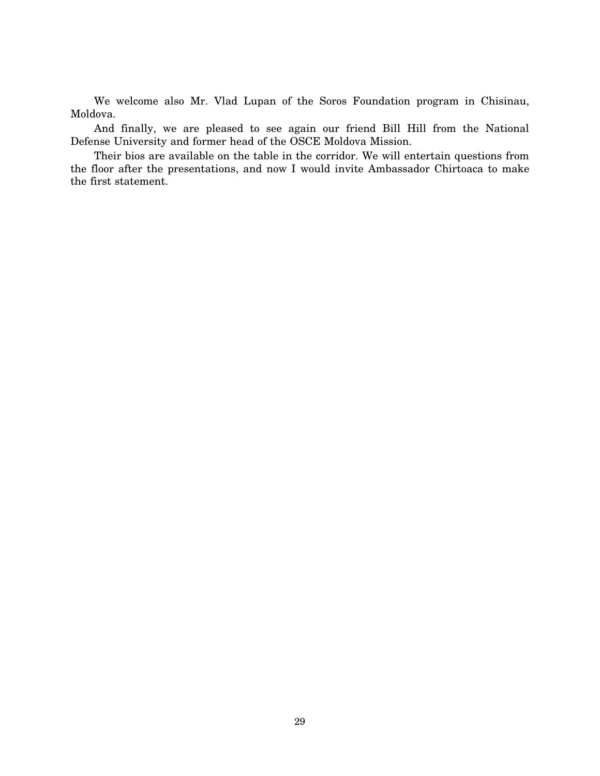We welcome also Mr. Vlad Lupan of the Soros Foundation program in Chisinau, Moldova.

And finally, we are pleased to see again our friend Bill Hill from the National Defense University and former head of the OSCE Moldova Mission.

Their bios are available on the table in the corridor. We will entertain questions from the floor after the presentations, and now I would invite Ambassador Chirtoaca to make the first statement.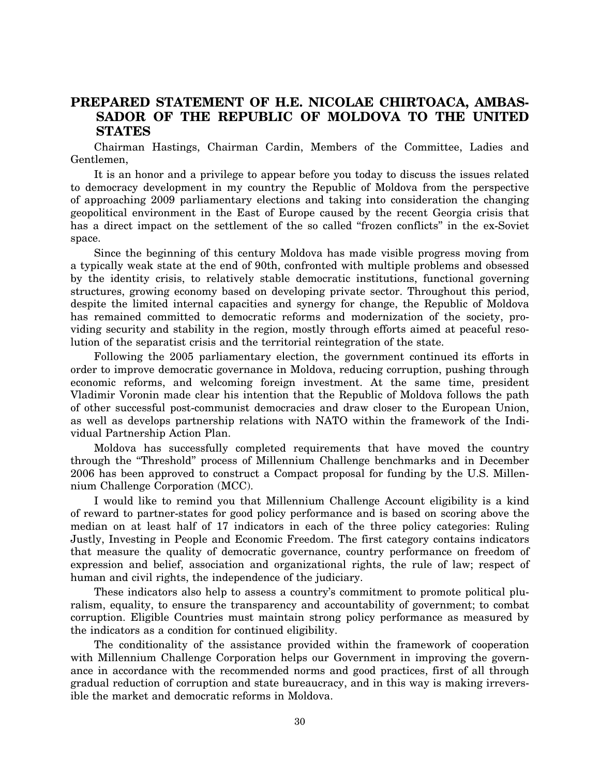### **PREPARED STATEMENT OF H.E. NICOLAE CHIRTOACA, AMBAS-SADOR OF THE REPUBLIC OF MOLDOVA TO THE UNITED STATES**

Chairman Hastings, Chairman Cardin, Members of the Committee, Ladies and Gentlemen,

It is an honor and a privilege to appear before you today to discuss the issues related to democracy development in my country the Republic of Moldova from the perspective of approaching 2009 parliamentary elections and taking into consideration the changing geopolitical environment in the East of Europe caused by the recent Georgia crisis that has a direct impact on the settlement of the so called "frozen conflicts" in the ex-Soviet space.

Since the beginning of this century Moldova has made visible progress moving from a typically weak state at the end of 90th, confronted with multiple problems and obsessed by the identity crisis, to relatively stable democratic institutions, functional governing structures, growing economy based on developing private sector. Throughout this period, despite the limited internal capacities and synergy for change, the Republic of Moldova has remained committed to democratic reforms and modernization of the society, providing security and stability in the region, mostly through efforts aimed at peaceful resolution of the separatist crisis and the territorial reintegration of the state.

Following the 2005 parliamentary election, the government continued its efforts in order to improve democratic governance in Moldova, reducing corruption, pushing through economic reforms, and welcoming foreign investment. At the same time, president Vladimir Voronin made clear his intention that the Republic of Moldova follows the path of other successful post-communist democracies and draw closer to the European Union, as well as develops partnership relations with NATO within the framework of the Individual Partnership Action Plan.

Moldova has successfully completed requirements that have moved the country through the ''Threshold'' process of Millennium Challenge benchmarks and in December 2006 has been approved to construct a Compact proposal for funding by the U.S. Millennium Challenge Corporation (MCC).

I would like to remind you that Millennium Challenge Account eligibility is a kind of reward to partner-states for good policy performance and is based on scoring above the median on at least half of 17 indicators in each of the three policy categories: Ruling Justly, Investing in People and Economic Freedom. The first category contains indicators that measure the quality of democratic governance, country performance on freedom of expression and belief, association and organizational rights, the rule of law; respect of human and civil rights, the independence of the judiciary.

These indicators also help to assess a country's commitment to promote political pluralism, equality, to ensure the transparency and accountability of government; to combat corruption. Eligible Countries must maintain strong policy performance as measured by the indicators as a condition for continued eligibility.

The conditionality of the assistance provided within the framework of cooperation with Millennium Challenge Corporation helps our Government in improving the governance in accordance with the recommended norms and good practices, first of all through gradual reduction of corruption and state bureaucracy, and in this way is making irreversible the market and democratic reforms in Moldova.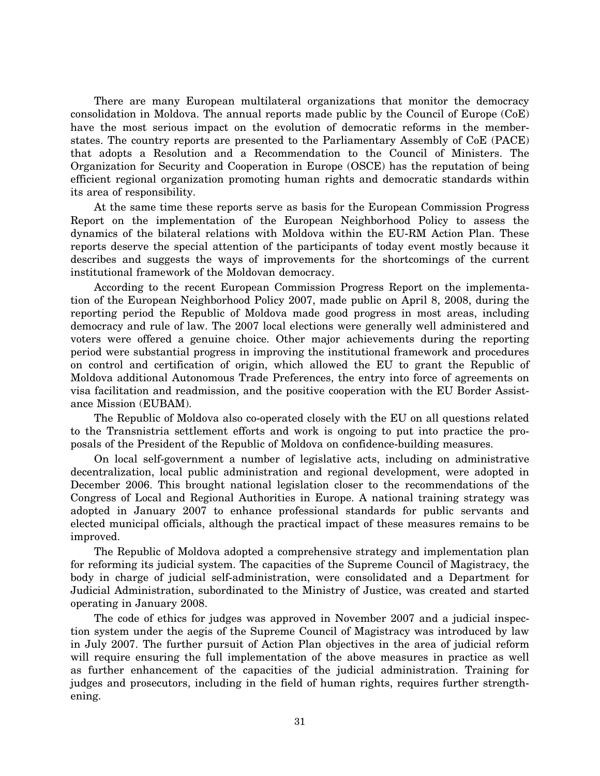There are many European multilateral organizations that monitor the democracy consolidation in Moldova. The annual reports made public by the Council of Europe (CoE) have the most serious impact on the evolution of democratic reforms in the memberstates. The country reports are presented to the Parliamentary Assembly of CoE (PACE) that adopts a Resolution and a Recommendation to the Council of Ministers. The Organization for Security and Cooperation in Europe (OSCE) has the reputation of being efficient regional organization promoting human rights and democratic standards within its area of responsibility.

At the same time these reports serve as basis for the European Commission Progress Report on the implementation of the European Neighborhood Policy to assess the dynamics of the bilateral relations with Moldova within the EU-RM Action Plan. These reports deserve the special attention of the participants of today event mostly because it describes and suggests the ways of improvements for the shortcomings of the current institutional framework of the Moldovan democracy.

According to the recent European Commission Progress Report on the implementation of the European Neighborhood Policy 2007, made public on April 8, 2008, during the reporting period the Republic of Moldova made good progress in most areas, including democracy and rule of law. The 2007 local elections were generally well administered and voters were offered a genuine choice. Other major achievements during the reporting period were substantial progress in improving the institutional framework and procedures on control and certification of origin, which allowed the EU to grant the Republic of Moldova additional Autonomous Trade Preferences, the entry into force of agreements on visa facilitation and readmission, and the positive cooperation with the EU Border Assistance Mission (EUBAM).

The Republic of Moldova also co-operated closely with the EU on all questions related to the Transnistria settlement efforts and work is ongoing to put into practice the proposals of the President of the Republic of Moldova on confidence-building measures.

On local self-government a number of legislative acts, including on administrative decentralization, local public administration and regional development, were adopted in December 2006. This brought national legislation closer to the recommendations of the Congress of Local and Regional Authorities in Europe. A national training strategy was adopted in January 2007 to enhance professional standards for public servants and elected municipal officials, although the practical impact of these measures remains to be improved.

The Republic of Moldova adopted a comprehensive strategy and implementation plan for reforming its judicial system. The capacities of the Supreme Council of Magistracy, the body in charge of judicial self-administration, were consolidated and a Department for Judicial Administration, subordinated to the Ministry of Justice, was created and started operating in January 2008.

The code of ethics for judges was approved in November 2007 and a judicial inspection system under the aegis of the Supreme Council of Magistracy was introduced by law in July 2007. The further pursuit of Action Plan objectives in the area of judicial reform will require ensuring the full implementation of the above measures in practice as well as further enhancement of the capacities of the judicial administration. Training for judges and prosecutors, including in the field of human rights, requires further strengthening.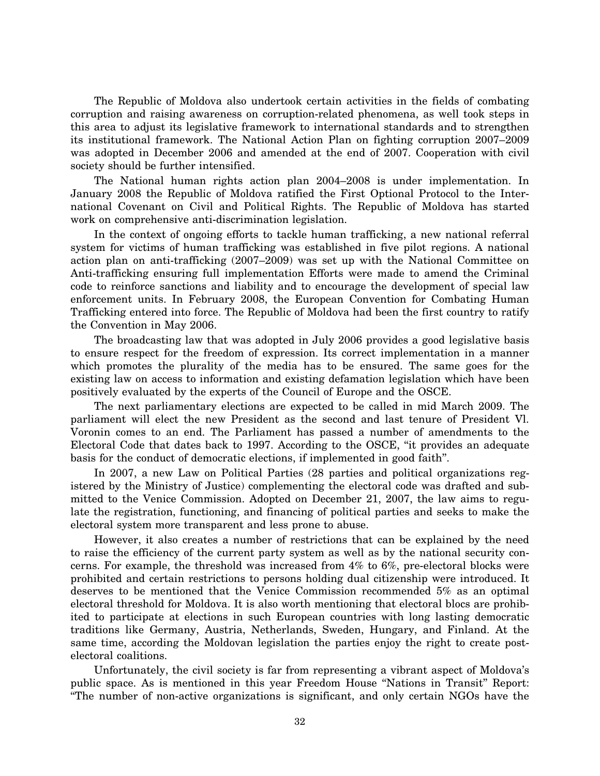The Republic of Moldova also undertook certain activities in the fields of combating corruption and raising awareness on corruption-related phenomena, as well took steps in this area to adjust its legislative framework to international standards and to strengthen its institutional framework. The National Action Plan on fighting corruption 2007–2009 was adopted in December 2006 and amended at the end of 2007. Cooperation with civil society should be further intensified.

The National human rights action plan 2004–2008 is under implementation. In January 2008 the Republic of Moldova ratified the First Optional Protocol to the International Covenant on Civil and Political Rights. The Republic of Moldova has started work on comprehensive anti-discrimination legislation.

In the context of ongoing efforts to tackle human trafficking, a new national referral system for victims of human trafficking was established in five pilot regions. A national action plan on anti-trafficking (2007–2009) was set up with the National Committee on Anti-trafficking ensuring full implementation Efforts were made to amend the Criminal code to reinforce sanctions and liability and to encourage the development of special law enforcement units. In February 2008, the European Convention for Combating Human Trafficking entered into force. The Republic of Moldova had been the first country to ratify the Convention in May 2006.

The broadcasting law that was adopted in July 2006 provides a good legislative basis to ensure respect for the freedom of expression. Its correct implementation in a manner which promotes the plurality of the media has to be ensured. The same goes for the existing law on access to information and existing defamation legislation which have been positively evaluated by the experts of the Council of Europe and the OSCE.

The next parliamentary elections are expected to be called in mid March 2009. The parliament will elect the new President as the second and last tenure of President Vl. Voronin comes to an end. The Parliament has passed a number of amendments to the Electoral Code that dates back to 1997. According to the OSCE, ''it provides an adequate basis for the conduct of democratic elections, if implemented in good faith''.

In 2007, a new Law on Political Parties (28 parties and political organizations registered by the Ministry of Justice) complementing the electoral code was drafted and submitted to the Venice Commission. Adopted on December 21, 2007, the law aims to regulate the registration, functioning, and financing of political parties and seeks to make the electoral system more transparent and less prone to abuse.

However, it also creates a number of restrictions that can be explained by the need to raise the efficiency of the current party system as well as by the national security concerns. For example, the threshold was increased from 4% to 6%, pre-electoral blocks were prohibited and certain restrictions to persons holding dual citizenship were introduced. It deserves to be mentioned that the Venice Commission recommended 5% as an optimal electoral threshold for Moldova. It is also worth mentioning that electoral blocs are prohibited to participate at elections in such European countries with long lasting democratic traditions like Germany, Austria, Netherlands, Sweden, Hungary, and Finland. At the same time, according the Moldovan legislation the parties enjoy the right to create postelectoral coalitions.

Unfortunately, the civil society is far from representing a vibrant aspect of Moldova's public space. As is mentioned in this year Freedom House ''Nations in Transit'' Report: ''The number of non-active organizations is significant, and only certain NGOs have the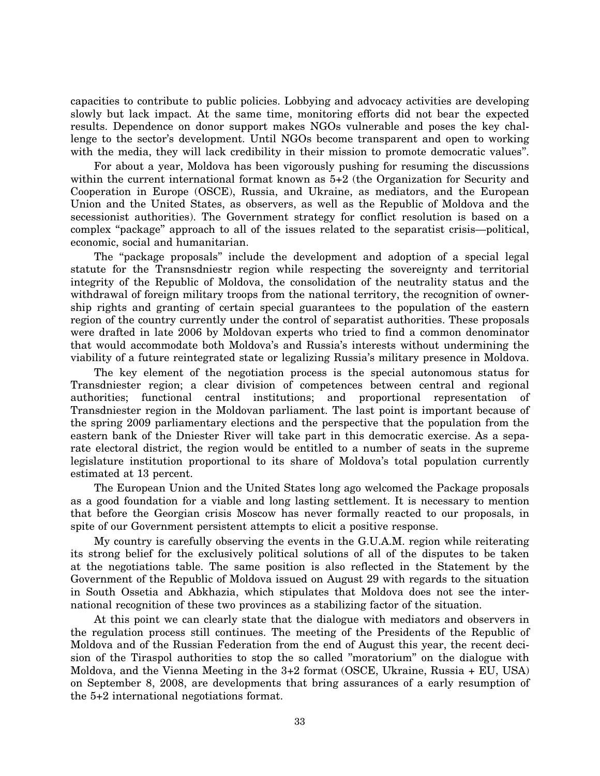capacities to contribute to public policies. Lobbying and advocacy activities are developing slowly but lack impact. At the same time, monitoring efforts did not bear the expected results. Dependence on donor support makes NGOs vulnerable and poses the key challenge to the sector's development. Until NGOs become transparent and open to working with the media, they will lack credibility in their mission to promote democratic values".

For about a year, Moldova has been vigorously pushing for resuming the discussions within the current international format known as  $5+2$  (the Organization for Security and Cooperation in Europe (OSCE), Russia, and Ukraine, as mediators, and the European Union and the United States, as observers, as well as the Republic of Moldova and the secessionist authorities). The Government strategy for conflict resolution is based on a complex ''package'' approach to all of the issues related to the separatist crisis—political, economic, social and humanitarian.

The ''package proposals'' include the development and adoption of a special legal statute for the Transnsdniestr region while respecting the sovereignty and territorial integrity of the Republic of Moldova, the consolidation of the neutrality status and the withdrawal of foreign military troops from the national territory, the recognition of ownership rights and granting of certain special guarantees to the population of the eastern region of the country currently under the control of separatist authorities. These proposals were drafted in late 2006 by Moldovan experts who tried to find a common denominator that would accommodate both Moldova's and Russia's interests without undermining the viability of a future reintegrated state or legalizing Russia's military presence in Moldova.

The key element of the negotiation process is the special autonomous status for Transdniester region; a clear division of competences between central and regional authorities; functional central institutions; and proportional representation of Transdniester region in the Moldovan parliament. The last point is important because of the spring 2009 parliamentary elections and the perspective that the population from the eastern bank of the Dniester River will take part in this democratic exercise. As a separate electoral district, the region would be entitled to a number of seats in the supreme legislature institution proportional to its share of Moldova's total population currently estimated at 13 percent.

The European Union and the United States long ago welcomed the Package proposals as a good foundation for a viable and long lasting settlement. It is necessary to mention that before the Georgian crisis Moscow has never formally reacted to our proposals, in spite of our Government persistent attempts to elicit a positive response.

My country is carefully observing the events in the G.U.A.M. region while reiterating its strong belief for the exclusively political solutions of all of the disputes to be taken at the negotiations table. The same position is also reflected in the Statement by the Government of the Republic of Moldova issued on August 29 with regards to the situation in South Ossetia and Abkhazia, which stipulates that Moldova does not see the international recognition of these two provinces as a stabilizing factor of the situation.

At this point we can clearly state that the dialogue with mediators and observers in the regulation process still continues. The meeting of the Presidents of the Republic of Moldova and of the Russian Federation from the end of August this year, the recent decision of the Tiraspol authorities to stop the so called ''moratorium'' on the dialogue with Moldova, and the Vienna Meeting in the 3+2 format (OSCE, Ukraine, Russia + EU, USA) on September 8, 2008, are developments that bring assurances of a early resumption of the 5+2 international negotiations format.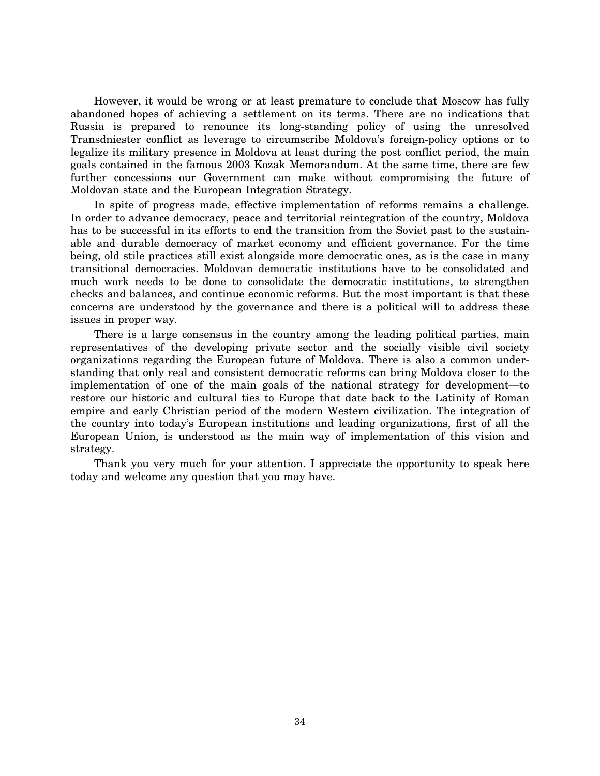However, it would be wrong or at least premature to conclude that Moscow has fully abandoned hopes of achieving a settlement on its terms. There are no indications that Russia is prepared to renounce its long-standing policy of using the unresolved Transdniester conflict as leverage to circumscribe Moldova's foreign-policy options or to legalize its military presence in Moldova at least during the post conflict period, the main goals contained in the famous 2003 Kozak Memorandum. At the same time, there are few further concessions our Government can make without compromising the future of Moldovan state and the European Integration Strategy.

In spite of progress made, effective implementation of reforms remains a challenge. In order to advance democracy, peace and territorial reintegration of the country, Moldova has to be successful in its efforts to end the transition from the Soviet past to the sustainable and durable democracy of market economy and efficient governance. For the time being, old stile practices still exist alongside more democratic ones, as is the case in many transitional democracies. Moldovan democratic institutions have to be consolidated and much work needs to be done to consolidate the democratic institutions, to strengthen checks and balances, and continue economic reforms. But the most important is that these concerns are understood by the governance and there is a political will to address these issues in proper way.

There is a large consensus in the country among the leading political parties, main representatives of the developing private sector and the socially visible civil society organizations regarding the European future of Moldova. There is also a common understanding that only real and consistent democratic reforms can bring Moldova closer to the implementation of one of the main goals of the national strategy for development—to restore our historic and cultural ties to Europe that date back to the Latinity of Roman empire and early Christian period of the modern Western civilization. The integration of the country into today's European institutions and leading organizations, first of all the European Union, is understood as the main way of implementation of this vision and strategy.

Thank you very much for your attention. I appreciate the opportunity to speak here today and welcome any question that you may have.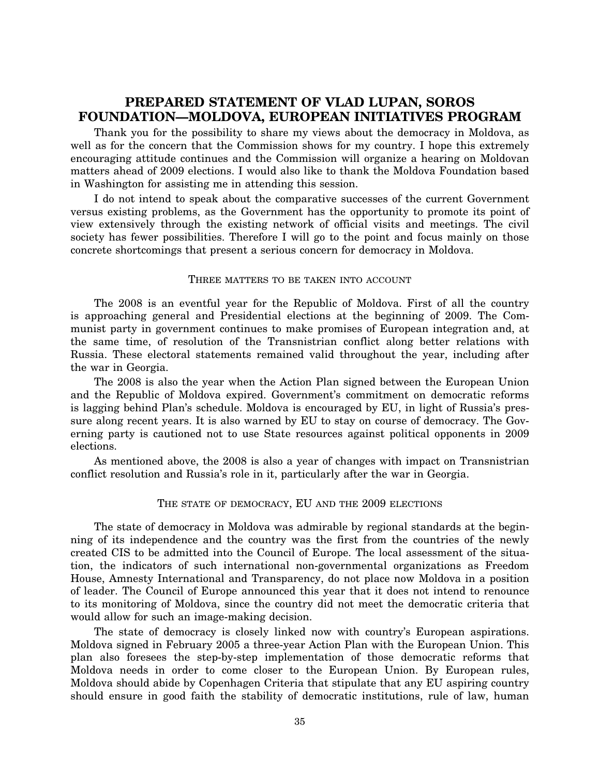## **PREPARED STATEMENT OF VLAD LUPAN, SOROS FOUNDATION—MOLDOVA, EUROPEAN INITIATIVES PROGRAM**

Thank you for the possibility to share my views about the democracy in Moldova, as well as for the concern that the Commission shows for my country. I hope this extremely encouraging attitude continues and the Commission will organize a hearing on Moldovan matters ahead of 2009 elections. I would also like to thank the Moldova Foundation based in Washington for assisting me in attending this session.

I do not intend to speak about the comparative successes of the current Government versus existing problems, as the Government has the opportunity to promote its point of view extensively through the existing network of official visits and meetings. The civil society has fewer possibilities. Therefore I will go to the point and focus mainly on those concrete shortcomings that present a serious concern for democracy in Moldova.

### THREE MATTERS TO BE TAKEN INTO ACCOUNT

The 2008 is an eventful year for the Republic of Moldova. First of all the country is approaching general and Presidential elections at the beginning of 2009. The Communist party in government continues to make promises of European integration and, at the same time, of resolution of the Transnistrian conflict along better relations with Russia. These electoral statements remained valid throughout the year, including after the war in Georgia.

The 2008 is also the year when the Action Plan signed between the European Union and the Republic of Moldova expired. Government's commitment on democratic reforms is lagging behind Plan's schedule. Moldova is encouraged by EU, in light of Russia's pressure along recent years. It is also warned by EU to stay on course of democracy. The Governing party is cautioned not to use State resources against political opponents in 2009 elections.

As mentioned above, the 2008 is also a year of changes with impact on Transnistrian conflict resolution and Russia's role in it, particularly after the war in Georgia.

### THE STATE OF DEMOCRACY, EU AND THE 2009 ELECTIONS

The state of democracy in Moldova was admirable by regional standards at the beginning of its independence and the country was the first from the countries of the newly created CIS to be admitted into the Council of Europe. The local assessment of the situation, the indicators of such international non-governmental organizations as Freedom House, Amnesty International and Transparency, do not place now Moldova in a position of leader. The Council of Europe announced this year that it does not intend to renounce to its monitoring of Moldova, since the country did not meet the democratic criteria that would allow for such an image-making decision.

The state of democracy is closely linked now with country's European aspirations. Moldova signed in February 2005 a three-year Action Plan with the European Union. This plan also foresees the step-by-step implementation of those democratic reforms that Moldova needs in order to come closer to the European Union. By European rules, Moldova should abide by Copenhagen Criteria that stipulate that any EU aspiring country should ensure in good faith the stability of democratic institutions, rule of law, human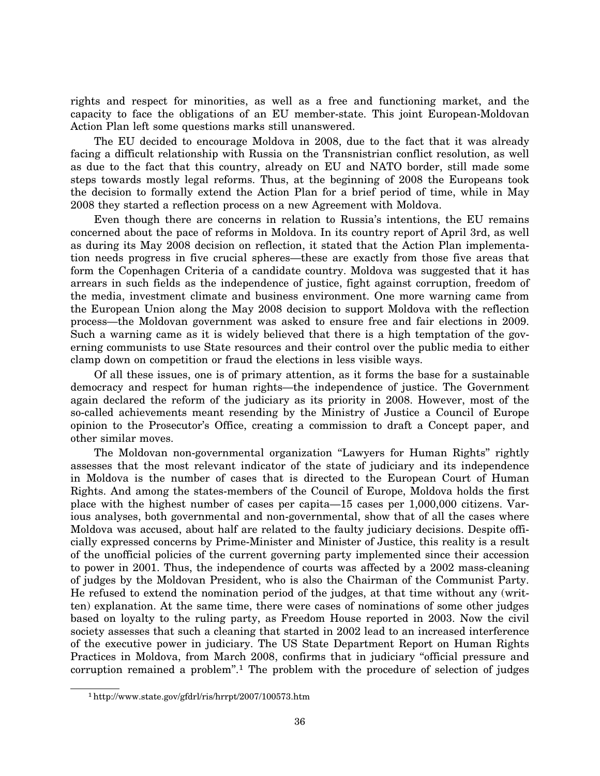rights and respect for minorities, as well as a free and functioning market, and the capacity to face the obligations of an EU member-state. This joint European-Moldovan Action Plan left some questions marks still unanswered.

The EU decided to encourage Moldova in 2008, due to the fact that it was already facing a difficult relationship with Russia on the Transnistrian conflict resolution, as well as due to the fact that this country, already on EU and NATO border, still made some steps towards mostly legal reforms. Thus, at the beginning of 2008 the Europeans took the decision to formally extend the Action Plan for a brief period of time, while in May 2008 they started a reflection process on a new Agreement with Moldova.

Even though there are concerns in relation to Russia's intentions, the EU remains concerned about the pace of reforms in Moldova. In its country report of April 3rd, as well as during its May 2008 decision on reflection, it stated that the Action Plan implementation needs progress in five crucial spheres—these are exactly from those five areas that form the Copenhagen Criteria of a candidate country. Moldova was suggested that it has arrears in such fields as the independence of justice, fight against corruption, freedom of the media, investment climate and business environment. One more warning came from the European Union along the May 2008 decision to support Moldova with the reflection process—the Moldovan government was asked to ensure free and fair elections in 2009. Such a warning came as it is widely believed that there is a high temptation of the governing communists to use State resources and their control over the public media to either clamp down on competition or fraud the elections in less visible ways.

Of all these issues, one is of primary attention, as it forms the base for a sustainable democracy and respect for human rights—the independence of justice. The Government again declared the reform of the judiciary as its priority in 2008. However, most of the so-called achievements meant resending by the Ministry of Justice a Council of Europe opinion to the Prosecutor's Office, creating a commission to draft a Concept paper, and other similar moves.

The Moldovan non-governmental organization ''Lawyers for Human Rights'' rightly assesses that the most relevant indicator of the state of judiciary and its independence in Moldova is the number of cases that is directed to the European Court of Human Rights. And among the states-members of the Council of Europe, Moldova holds the first place with the highest number of cases per capita—15 cases per 1,000,000 citizens. Various analyses, both governmental and non-governmental, show that of all the cases where Moldova was accused, about half are related to the faulty judiciary decisions. Despite officially expressed concerns by Prime-Minister and Minister of Justice, this reality is a result of the unofficial policies of the current governing party implemented since their accession to power in 2001. Thus, the independence of courts was affected by a 2002 mass-cleaning of judges by the Moldovan President, who is also the Chairman of the Communist Party. He refused to extend the nomination period of the judges, at that time without any (written) explanation. At the same time, there were cases of nominations of some other judges based on loyalty to the ruling party, as Freedom House reported in 2003. Now the civil society assesses that such a cleaning that started in 2002 lead to an increased interference of the executive power in judiciary. The US State Department Report on Human Rights Practices in Moldova, from March 2008, confirms that in judiciary ''official pressure and corruption remained a problem''.1 The problem with the procedure of selection of judges

<sup>1</sup>http://www.state.gov/gfdrl/ris/hrrpt/2007/100573.htm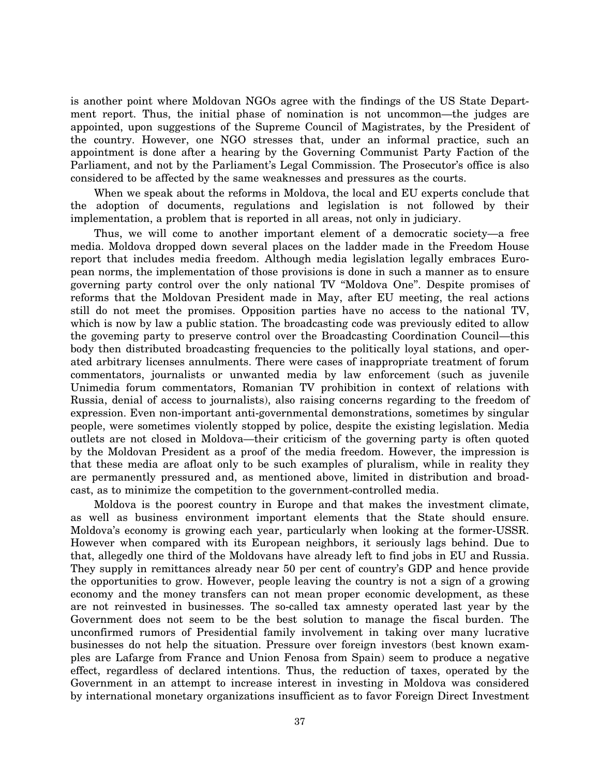is another point where Moldovan NGOs agree with the findings of the US State Department report. Thus, the initial phase of nomination is not uncommon—the judges are appointed, upon suggestions of the Supreme Council of Magistrates, by the President of the country. However, one NGO stresses that, under an informal practice, such an appointment is done after a hearing by the Governing Communist Party Faction of the Parliament, and not by the Parliament's Legal Commission. The Prosecutor's office is also considered to be affected by the same weaknesses and pressures as the courts.

When we speak about the reforms in Moldova, the local and EU experts conclude that the adoption of documents, regulations and legislation is not followed by their implementation, a problem that is reported in all areas, not only in judiciary.

Thus, we will come to another important element of a democratic society—a free media. Moldova dropped down several places on the ladder made in the Freedom House report that includes media freedom. Although media legislation legally embraces European norms, the implementation of those provisions is done in such a manner as to ensure governing party control over the only national TV ''Moldova One''. Despite promises of reforms that the Moldovan President made in May, after EU meeting, the real actions still do not meet the promises. Opposition parties have no access to the national TV, which is now by law a public station. The broadcasting code was previously edited to allow the goveming party to preserve control over the Broadcasting Coordination Council—this body then distributed broadcasting frequencies to the politically loyal stations, and operated arbitrary licenses annulments. There were cases of inappropriate treatment of forum commentators, journalists or unwanted media by law enforcement (such as juvenile Unimedia forum commentators, Romanian TV prohibition in context of relations with Russia, denial of access to journalists), also raising concerns regarding to the freedom of expression. Even non-important anti-governmental demonstrations, sometimes by singular people, were sometimes violently stopped by police, despite the existing legislation. Media outlets are not closed in Moldova—their criticism of the governing party is often quoted by the Moldovan President as a proof of the media freedom. However, the impression is that these media are afloat only to be such examples of pluralism, while in reality they are permanently pressured and, as mentioned above, limited in distribution and broadcast, as to minimize the competition to the government-controlled media.

Moldova is the poorest country in Europe and that makes the investment climate, as well as business environment important elements that the State should ensure. Moldova's economy is growing each year, particularly when looking at the former-USSR. However when compared with its European neighbors, it seriously lags behind. Due to that, allegedly one third of the Moldovans have already left to find jobs in EU and Russia. They supply in remittances already near 50 per cent of country's GDP and hence provide the opportunities to grow. However, people leaving the country is not a sign of a growing economy and the money transfers can not mean proper economic development, as these are not reinvested in businesses. The so-called tax amnesty operated last year by the Government does not seem to be the best solution to manage the fiscal burden. The unconfirmed rumors of Presidential family involvement in taking over many lucrative businesses do not help the situation. Pressure over foreign investors (best known examples are Lafarge from France and Union Fenosa from Spain) seem to produce a negative effect, regardless of declared intentions. Thus, the reduction of taxes, operated by the Government in an attempt to increase interest in investing in Moldova was considered by international monetary organizations insufficient as to favor Foreign Direct Investment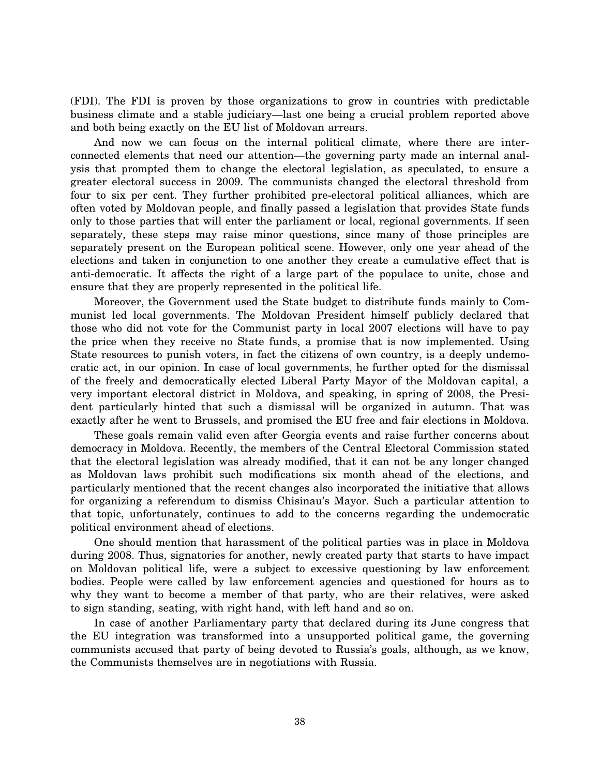(FDI). The FDI is proven by those organizations to grow in countries with predictable business climate and a stable judiciary—last one being a crucial problem reported above and both being exactly on the EU list of Moldovan arrears.

And now we can focus on the internal political climate, where there are interconnected elements that need our attention—the governing party made an internal analysis that prompted them to change the electoral legislation, as speculated, to ensure a greater electoral success in 2009. The communists changed the electoral threshold from four to six per cent. They further prohibited pre-electoral political alliances, which are often voted by Moldovan people, and finally passed a legislation that provides State funds only to those parties that will enter the parliament or local, regional governments. If seen separately, these steps may raise minor questions, since many of those principles are separately present on the European political scene. However, only one year ahead of the elections and taken in conjunction to one another they create a cumulative effect that is anti-democratic. It affects the right of a large part of the populace to unite, chose and ensure that they are properly represented in the political life.

Moreover, the Government used the State budget to distribute funds mainly to Communist led local governments. The Moldovan President himself publicly declared that those who did not vote for the Communist party in local 2007 elections will have to pay the price when they receive no State funds, a promise that is now implemented. Using State resources to punish voters, in fact the citizens of own country, is a deeply undemocratic act, in our opinion. In case of local governments, he further opted for the dismissal of the freely and democratically elected Liberal Party Mayor of the Moldovan capital, a very important electoral district in Moldova, and speaking, in spring of 2008, the President particularly hinted that such a dismissal will be organized in autumn. That was exactly after he went to Brussels, and promised the EU free and fair elections in Moldova.

These goals remain valid even after Georgia events and raise further concerns about democracy in Moldova. Recently, the members of the Central Electoral Commission stated that the electoral legislation was already modified, that it can not be any longer changed as Moldovan laws prohibit such modifications six month ahead of the elections, and particularly mentioned that the recent changes also incorporated the initiative that allows for organizing a referendum to dismiss Chisinau's Mayor. Such a particular attention to that topic, unfortunately, continues to add to the concerns regarding the undemocratic political environment ahead of elections.

One should mention that harassment of the political parties was in place in Moldova during 2008. Thus, signatories for another, newly created party that starts to have impact on Moldovan political life, were a subject to excessive questioning by law enforcement bodies. People were called by law enforcement agencies and questioned for hours as to why they want to become a member of that party, who are their relatives, were asked to sign standing, seating, with right hand, with left hand and so on.

In case of another Parliamentary party that declared during its June congress that the EU integration was transformed into a unsupported political game, the governing communists accused that party of being devoted to Russia's goals, although, as we know, the Communists themselves are in negotiations with Russia.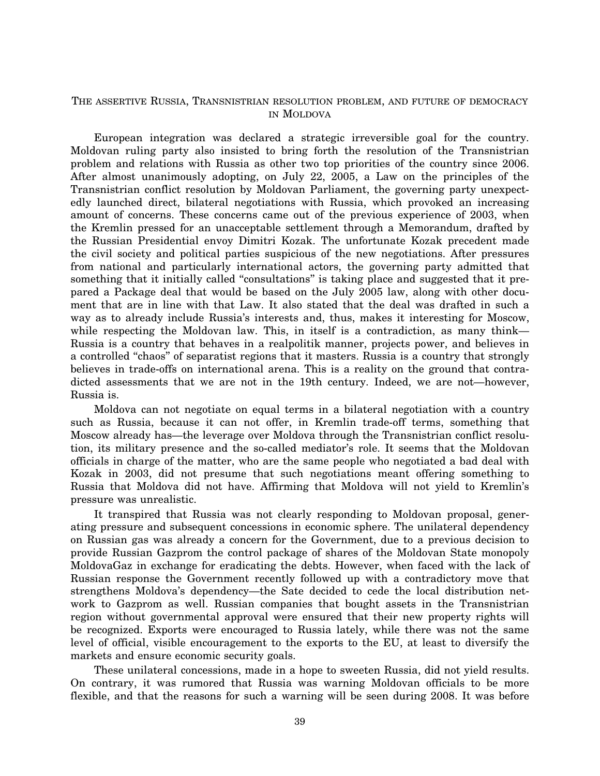### THE ASSERTIVE RUSSIA, TRANSNISTRIAN RESOLUTION PROBLEM, AND FUTURE OF DEMOCRACY IN MOLDOVA

European integration was declared a strategic irreversible goal for the country. Moldovan ruling party also insisted to bring forth the resolution of the Transnistrian problem and relations with Russia as other two top priorities of the country since 2006. After almost unanimously adopting, on July 22, 2005, a Law on the principles of the Transnistrian conflict resolution by Moldovan Parliament, the governing party unexpectedly launched direct, bilateral negotiations with Russia, which provoked an increasing amount of concerns. These concerns came out of the previous experience of 2003, when the Kremlin pressed for an unacceptable settlement through a Memorandum, drafted by the Russian Presidential envoy Dimitri Kozak. The unfortunate Kozak precedent made the civil society and political parties suspicious of the new negotiations. After pressures from national and particularly international actors, the governing party admitted that something that it initially called "consultations" is taking place and suggested that it prepared a Package deal that would be based on the July 2005 law, along with other document that are in line with that Law. It also stated that the deal was drafted in such a way as to already include Russia's interests and, thus, makes it interesting for Moscow, while respecting the Moldovan law. This, in itself is a contradiction, as many think— Russia is a country that behaves in a realpolitik manner, projects power, and believes in a controlled ''chaos'' of separatist regions that it masters. Russia is a country that strongly believes in trade-offs on international arena. This is a reality on the ground that contradicted assessments that we are not in the 19th century. Indeed, we are not—however, Russia is.

Moldova can not negotiate on equal terms in a bilateral negotiation with a country such as Russia, because it can not offer, in Kremlin trade-off terms, something that Moscow already has—the leverage over Moldova through the Transnistrian conflict resolution, its military presence and the so-called mediator's role. It seems that the Moldovan officials in charge of the matter, who are the same people who negotiated a bad deal with Kozak in 2003, did not presume that such negotiations meant offering something to Russia that Moldova did not have. Affirming that Moldova will not yield to Kremlin's pressure was unrealistic.

It transpired that Russia was not clearly responding to Moldovan proposal, generating pressure and subsequent concessions in economic sphere. The unilateral dependency on Russian gas was already a concern for the Government, due to a previous decision to provide Russian Gazprom the control package of shares of the Moldovan State monopoly MoldovaGaz in exchange for eradicating the debts. However, when faced with the lack of Russian response the Government recently followed up with a contradictory move that strengthens Moldova's dependency—the Sate decided to cede the local distribution network to Gazprom as well. Russian companies that bought assets in the Transnistrian region without governmental approval were ensured that their new property rights will be recognized. Exports were encouraged to Russia lately, while there was not the same level of official, visible encouragement to the exports to the EU, at least to diversify the markets and ensure economic security goals.

These unilateral concessions, made in a hope to sweeten Russia, did not yield results. On contrary, it was rumored that Russia was warning Moldovan officials to be more flexible, and that the reasons for such a warning will be seen during 2008. It was before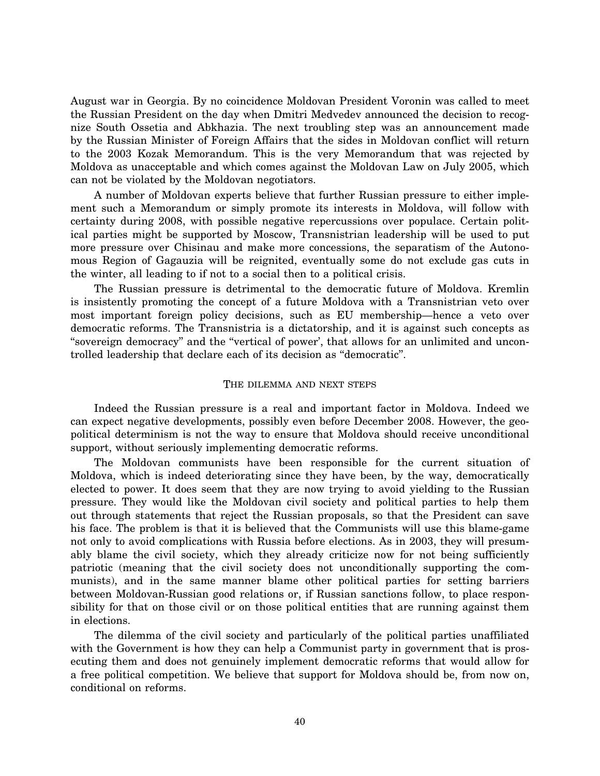August war in Georgia. By no coincidence Moldovan President Voronin was called to meet the Russian President on the day when Dmitri Medvedev announced the decision to recognize South Ossetia and Abkhazia. The next troubling step was an announcement made by the Russian Minister of Foreign Affairs that the sides in Moldovan conflict will return to the 2003 Kozak Memorandum. This is the very Memorandum that was rejected by Moldova as unacceptable and which comes against the Moldovan Law on July 2005, which can not be violated by the Moldovan negotiators.

A number of Moldovan experts believe that further Russian pressure to either implement such a Memorandum or simply promote its interests in Moldova, will follow with certainty during 2008, with possible negative repercussions over populace. Certain political parties might be supported by Moscow, Transnistrian leadership will be used to put more pressure over Chisinau and make more concessions, the separatism of the Autonomous Region of Gagauzia will be reignited, eventually some do not exclude gas cuts in the winter, all leading to if not to a social then to a political crisis.

The Russian pressure is detrimental to the democratic future of Moldova. Kremlin is insistently promoting the concept of a future Moldova with a Transnistrian veto over most important foreign policy decisions, such as EU membership—hence a veto over democratic reforms. The Transnistria is a dictatorship, and it is against such concepts as ''sovereign democracy'' and the ''vertical of power', that allows for an unlimited and uncontrolled leadership that declare each of its decision as ''democratic''.

### THE DILEMMA AND NEXT STEPS

Indeed the Russian pressure is a real and important factor in Moldova. Indeed we can expect negative developments, possibly even before December 2008. However, the geopolitical determinism is not the way to ensure that Moldova should receive unconditional support, without seriously implementing democratic reforms.

The Moldovan communists have been responsible for the current situation of Moldova, which is indeed deteriorating since they have been, by the way, democratically elected to power. It does seem that they are now trying to avoid yielding to the Russian pressure. They would like the Moldovan civil society and political parties to help them out through statements that reject the Russian proposals, so that the President can save his face. The problem is that it is believed that the Communists will use this blame-game not only to avoid complications with Russia before elections. As in 2003, they will presumably blame the civil society, which they already criticize now for not being sufficiently patriotic (meaning that the civil society does not unconditionally supporting the communists), and in the same manner blame other political parties for setting barriers between Moldovan-Russian good relations or, if Russian sanctions follow, to place responsibility for that on those civil or on those political entities that are running against them in elections.

The dilemma of the civil society and particularly of the political parties unaffiliated with the Government is how they can help a Communist party in government that is prosecuting them and does not genuinely implement democratic reforms that would allow for a free political competition. We believe that support for Moldova should be, from now on, conditional on reforms.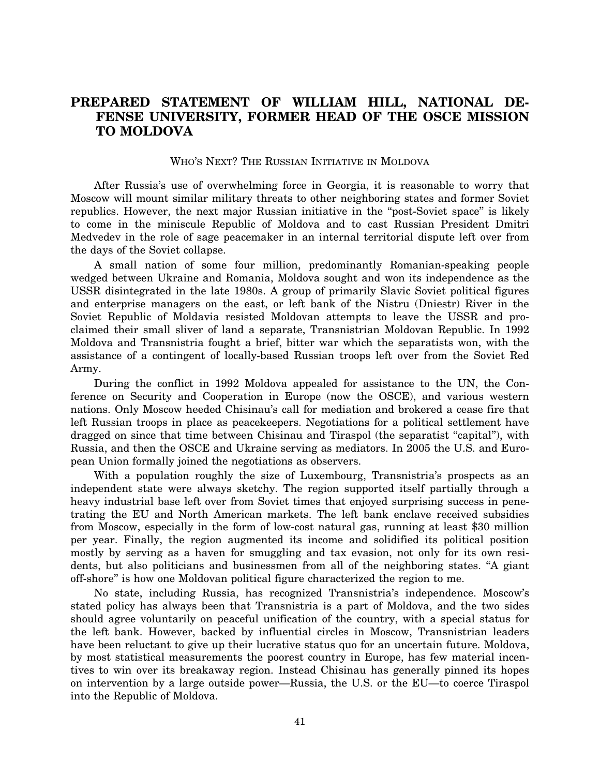## **PREPARED STATEMENT OF WILLIAM HILL, NATIONAL DE-FENSE UNIVERSITY, FORMER HEAD OF THE OSCE MISSION TO MOLDOVA**

WHO'S NEXT? THE RUSSIAN INITIATIVE IN MOLDOVA

After Russia's use of overwhelming force in Georgia, it is reasonable to worry that Moscow will mount similar military threats to other neighboring states and former Soviet republics. However, the next major Russian initiative in the ''post-Soviet space'' is likely to come in the miniscule Republic of Moldova and to cast Russian President Dmitri Medvedev in the role of sage peacemaker in an internal territorial dispute left over from the days of the Soviet collapse.

A small nation of some four million, predominantly Romanian-speaking people wedged between Ukraine and Romania, Moldova sought and won its independence as the USSR disintegrated in the late 1980s. A group of primarily Slavic Soviet political figures and enterprise managers on the east, or left bank of the Nistru (Dniestr) River in the Soviet Republic of Moldavia resisted Moldovan attempts to leave the USSR and proclaimed their small sliver of land a separate, Transnistrian Moldovan Republic. In 1992 Moldova and Transnistria fought a brief, bitter war which the separatists won, with the assistance of a contingent of locally-based Russian troops left over from the Soviet Red Army.

During the conflict in 1992 Moldova appealed for assistance to the UN, the Conference on Security and Cooperation in Europe (now the OSCE), and various western nations. Only Moscow heeded Chisinau's call for mediation and brokered a cease fire that left Russian troops in place as peacekeepers. Negotiations for a political settlement have dragged on since that time between Chisinau and Tiraspol (the separatist ''capital''), with Russia, and then the OSCE and Ukraine serving as mediators. In 2005 the U.S. and European Union formally joined the negotiations as observers.

With a population roughly the size of Luxembourg, Transnistria's prospects as an independent state were always sketchy. The region supported itself partially through a heavy industrial base left over from Soviet times that enjoyed surprising success in penetrating the EU and North American markets. The left bank enclave received subsidies from Moscow, especially in the form of low-cost natural gas, running at least \$30 million per year. Finally, the region augmented its income and solidified its political position mostly by serving as a haven for smuggling and tax evasion, not only for its own residents, but also politicians and businessmen from all of the neighboring states. ''A giant off-shore'' is how one Moldovan political figure characterized the region to me.

No state, including Russia, has recognized Transnistria's independence. Moscow's stated policy has always been that Transnistria is a part of Moldova, and the two sides should agree voluntarily on peaceful unification of the country, with a special status for the left bank. However, backed by influential circles in Moscow, Transnistrian leaders have been reluctant to give up their lucrative status quo for an uncertain future. Moldova, by most statistical measurements the poorest country in Europe, has few material incentives to win over its breakaway region. Instead Chisinau has generally pinned its hopes on intervention by a large outside power—Russia, the U.S. or the EU—to coerce Tiraspol into the Republic of Moldova.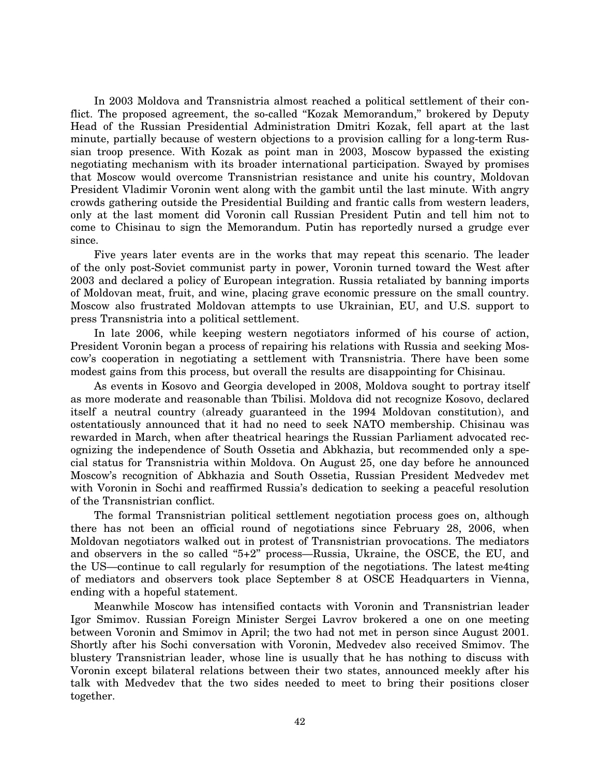In 2003 Moldova and Transnistria almost reached a political settlement of their conflict. The proposed agreement, the so-called ''Kozak Memorandum,'' brokered by Deputy Head of the Russian Presidential Administration Dmitri Kozak, fell apart at the last minute, partially because of western objections to a provision calling for a long-term Russian troop presence. With Kozak as point man in 2003, Moscow bypassed the existing negotiating mechanism with its broader international participation. Swayed by promises that Moscow would overcome Transnistrian resistance and unite his country, Moldovan President Vladimir Voronin went along with the gambit until the last minute. With angry crowds gathering outside the Presidential Building and frantic calls from western leaders, only at the last moment did Voronin call Russian President Putin and tell him not to come to Chisinau to sign the Memorandum. Putin has reportedly nursed a grudge ever since.

Five years later events are in the works that may repeat this scenario. The leader of the only post-Soviet communist party in power, Voronin turned toward the West after 2003 and declared a policy of European integration. Russia retaliated by banning imports of Moldovan meat, fruit, and wine, placing grave economic pressure on the small country. Moscow also frustrated Moldovan attempts to use Ukrainian, EU, and U.S. support to press Transnistria into a political settlement.

In late 2006, while keeping western negotiators informed of his course of action, President Voronin began a process of repairing his relations with Russia and seeking Moscow's cooperation in negotiating a settlement with Transnistria. There have been some modest gains from this process, but overall the results are disappointing for Chisinau.

As events in Kosovo and Georgia developed in 2008, Moldova sought to portray itself as more moderate and reasonable than Tbilisi. Moldova did not recognize Kosovo, declared itself a neutral country (already guaranteed in the 1994 Moldovan constitution), and ostentatiously announced that it had no need to seek NATO membership. Chisinau was rewarded in March, when after theatrical hearings the Russian Parliament advocated recognizing the independence of South Ossetia and Abkhazia, but recommended only a special status for Transnistria within Moldova. On August 25, one day before he announced Moscow's recognition of Abkhazia and South Ossetia, Russian President Medvedev met with Voronin in Sochi and reaffirmed Russia's dedication to seeking a peaceful resolution of the Transnistrian conflict.

The formal Transnistrian political settlement negotiation process goes on, although there has not been an official round of negotiations since February 28, 2006, when Moldovan negotiators walked out in protest of Transnistrian provocations. The mediators and observers in the so called "5+2" process—Russia, Ukraine, the OSCE, the EU, and the US—continue to call regularly for resumption of the negotiations. The latest me4ting of mediators and observers took place September 8 at OSCE Headquarters in Vienna, ending with a hopeful statement.

Meanwhile Moscow has intensified contacts with Voronin and Transnistrian leader Igor Smimov. Russian Foreign Minister Sergei Lavrov brokered a one on one meeting between Voronin and Smimov in April; the two had not met in person since August 2001. Shortly after his Sochi conversation with Voronin, Medvedev also received Smimov. The blustery Transnistrian leader, whose line is usually that he has nothing to discuss with Voronin except bilateral relations between their two states, announced meekly after his talk with Medvedev that the two sides needed to meet to bring their positions closer together.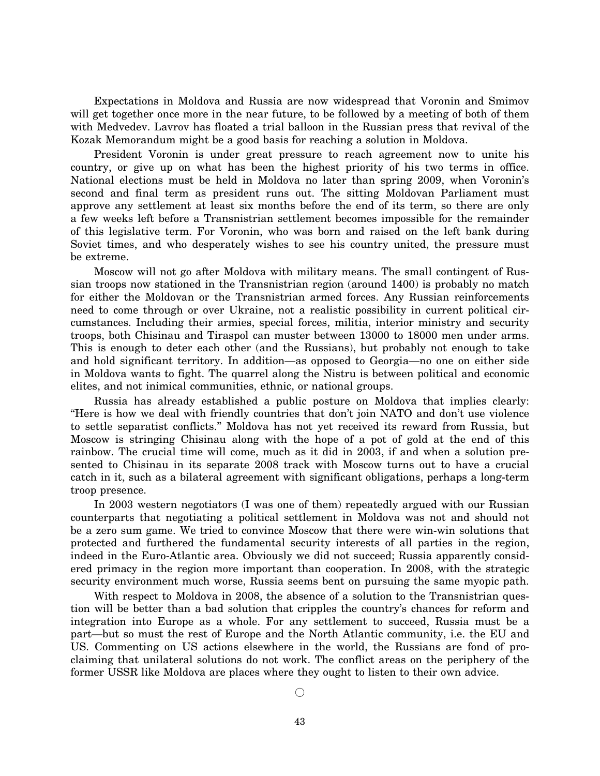Expectations in Moldova and Russia are now widespread that Voronin and Smimov will get together once more in the near future, to be followed by a meeting of both of them with Medvedev. Lavrov has floated a trial balloon in the Russian press that revival of the Kozak Memorandum might be a good basis for reaching a solution in Moldova.

President Voronin is under great pressure to reach agreement now to unite his country, or give up on what has been the highest priority of his two terms in office. National elections must be held in Moldova no later than spring 2009, when Voronin's second and final term as president runs out. The sitting Moldovan Parliament must approve any settlement at least six months before the end of its term, so there are only a few weeks left before a Transnistrian settlement becomes impossible for the remainder of this legislative term. For Voronin, who was born and raised on the left bank during Soviet times, and who desperately wishes to see his country united, the pressure must be extreme.

Moscow will not go after Moldova with military means. The small contingent of Russian troops now stationed in the Transnistrian region (around 1400) is probably no match for either the Moldovan or the Transnistrian armed forces. Any Russian reinforcements need to come through or over Ukraine, not a realistic possibility in current political circumstances. Including their armies, special forces, militia, interior ministry and security troops, both Chisinau and Tiraspol can muster between 13000 to 18000 men under arms. This is enough to deter each other (and the Russians), but probably not enough to take and hold significant territory. In addition—as opposed to Georgia—no one on either side in Moldova wants to fight. The quarrel along the Nistru is between political and economic elites, and not inimical communities, ethnic, or national groups.

Russia has already established a public posture on Moldova that implies clearly: ''Here is how we deal with friendly countries that don't join NATO and don't use violence to settle separatist conflicts.'' Moldova has not yet received its reward from Russia, but Moscow is stringing Chisinau along with the hope of a pot of gold at the end of this rainbow. The crucial time will come, much as it did in 2003, if and when a solution presented to Chisinau in its separate 2008 track with Moscow turns out to have a crucial catch in it, such as a bilateral agreement with significant obligations, perhaps a long-term troop presence.

In 2003 western negotiators (I was one of them) repeatedly argued with our Russian counterparts that negotiating a political settlement in Moldova was not and should not be a zero sum game. We tried to convince Moscow that there were win-win solutions that protected and furthered the fundamental security interests of all parties in the region, indeed in the Euro-Atlantic area. Obviously we did not succeed; Russia apparently considered primacy in the region more important than cooperation. In 2008, with the strategic security environment much worse, Russia seems bent on pursuing the same myopic path.

With respect to Moldova in 2008, the absence of a solution to the Transnistrian question will be better than a bad solution that cripples the country's chances for reform and integration into Europe as a whole. For any settlement to succeed, Russia must be a part—but so must the rest of Europe and the North Atlantic community, i.e. the EU and US. Commenting on US actions elsewhere in the world, the Russians are fond of proclaiming that unilateral solutions do not work. The conflict areas on the periphery of the former USSR like Moldova are places where they ought to listen to their own advice.